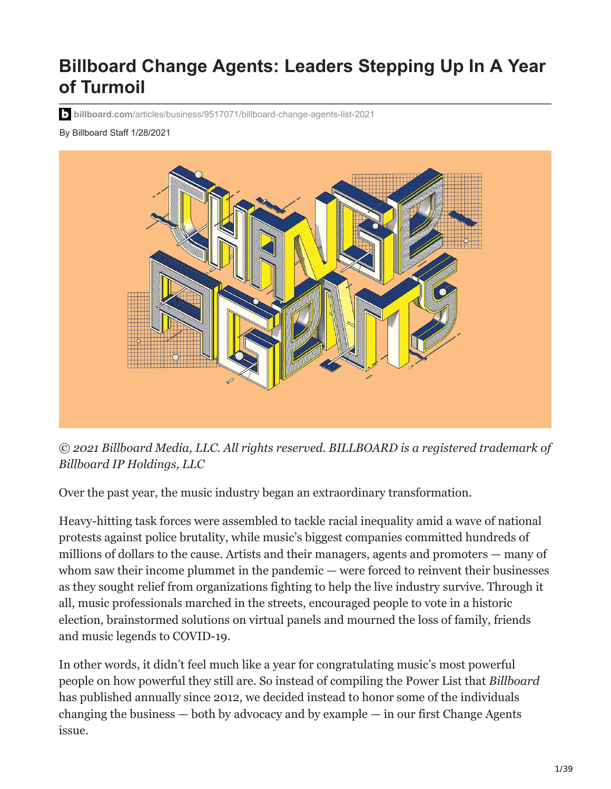# **Billboard Change Agents: Leaders Stepping Up In A Year of Turmoil**

**billboard.com**[/articles/business/9517071/billboard-change-agents-list-2021](https://www.billboard.com/articles/business/9517071/billboard-change-agents-list-2021)

By Billboard Staff 1/28/2021



*© 2021 Billboard Media, LLC. All rights reserved. BILLBOARD is a registered trademark of Billboard IP Holdings, LLC*

Over the past year, the music industry began an extraordinary transformation.

Heavy-hitting task forces were assembled to tackle racial inequality amid a wave of national protests against police brutality, while music's biggest companies committed hundreds of millions of dollars to the cause. Artists and their managers, agents and promoters — many of whom saw their income plummet in the pandemic — were forced to reinvent their businesses as they sought relief from organizations fighting to help the live industry survive. Through it all, music professionals marched in the streets, encouraged people to vote in a historic election, brainstormed solutions on virtual panels and mourned the loss of family, friends and music legends to COVID-19.

In other words, it didn't feel much like a year for congratulating music's most powerful people on how powerful they still are. So instead of compiling the Power List that *Billboard* has published annually since 2012, we decided instead to honor some of the individuals changing the business — both by advocacy and by example — in our first Change Agents issue.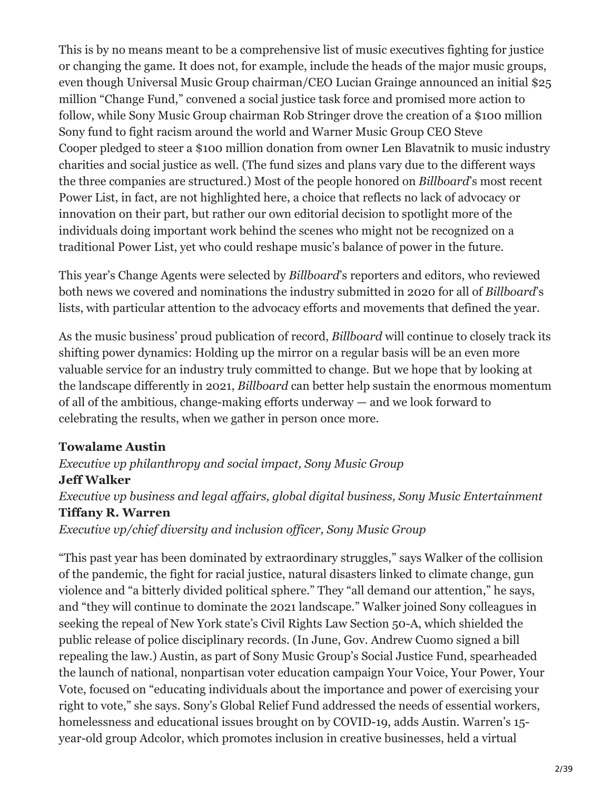This is by no means meant to be a comprehensive list of music executives fighting for justice or changing the game. It does not, for example, include the heads of the major music groups, even though Universal Music Group chairman/CEO Lucian Grainge announced an initial \$25 million "Change Fund," convened a social justice task force and promised more action to follow, while Sony Music Group chairman Rob Stringer drove the creation of a \$100 million Sony fund to fight racism around the world and Warner Music Group CEO Steve Cooper pledged to steer a \$100 million donation from owner Len Blavatnik to music industry charities and social justice as well. (The fund sizes and plans vary due to the different ways the three companies are structured.) Most of the people honored on *Billboard*'s most recent Power List, in fact, are not highlighted here, a choice that reflects no lack of advocacy or innovation on their part, but rather our own editorial decision to spotlight more of the individuals doing important work behind the scenes who might not be recognized on a traditional Power List, yet who could reshape music's balance of power in the future.

This year's Change Agents were selected by *Billboard*'s reporters and editors, who reviewed both news we covered and nominations the industry submitted in 2020 for all of *Billboard*'s lists, with particular attention to the advocacy efforts and movements that defined the year.

As the music business' proud publication of record, *Billboard* will continue to closely track its shifting power dynamics: Holding up the mirror on a regular basis will be an even more valuable service for an industry truly committed to change. But we hope that by looking at the landscape differently in 2021, *Billboard* can better help sustain the enormous momentum of all of the ambitious, change-making efforts underway — and we look forward to celebrating the results, when we gather in person once more.

#### **Towalame Austin**

#### *Executive vp philanthropy and social impact, Sony Music Group* **Jeff Walker** *Executive vp business and legal affairs, global digital business, Sony Music Entertainment* **Tiffany R. Warren** *Executive vp/chief diversity and inclusion officer, Sony Music Group*

"This past year has been dominated by extraordinary struggles," says Walker of the collision of the pandemic, the fight for racial justice, natural disasters linked to climate change, gun violence and "a bitterly divided political sphere." They "all demand our attention," he says, and "they will continue to dominate the 2021 landscape." Walker joined Sony colleagues in seeking the repeal of New York state's Civil Rights Law Section 50-A, which shielded the public release of police disciplinary records. (In June, Gov. Andrew Cuomo signed a bill repealing the law.) Austin, as part of Sony Music Group's Social Justice Fund, spearheaded the launch of national, nonpartisan voter education campaign Your Voice, Your Power, Your Vote, focused on "educating individuals about the importance and power of exercising your right to vote," she says. Sony's Global Relief Fund addressed the needs of essential workers, homelessness and educational issues brought on by COVID-19, adds Austin. Warren's 15 year-old group Adcolor, which promotes inclusion in creative businesses, held a virtual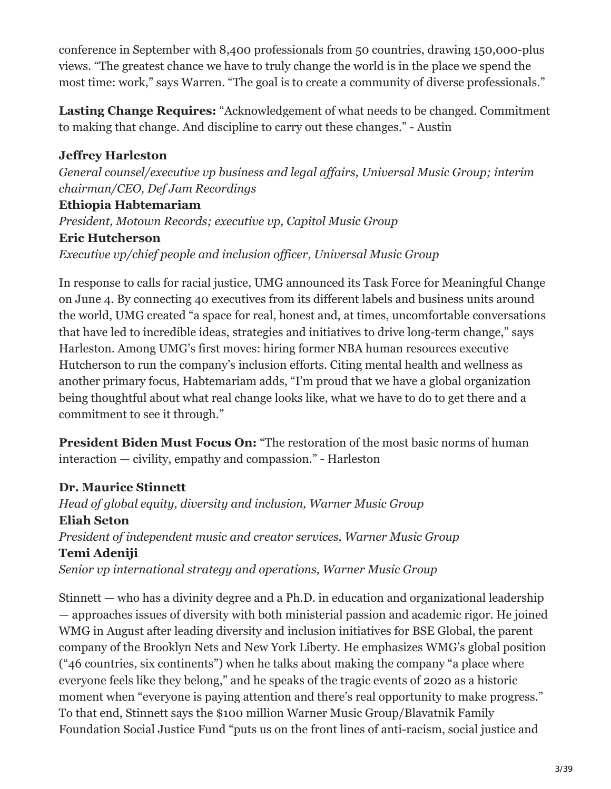conference in September with 8,400 professionals from 50 countries, drawing 150,000-plus views. "The greatest chance we have to truly change the world is in the place we spend the most time: work," says Warren. "The goal is to create a community of diverse professionals."

**Lasting Change Requires:** "Acknowledgement of what needs to be changed. Commitment to making that change. And discipline to carry out these changes." - Austin

#### **Jeffrey Harleston** *General counsel/executive vp business and legal affairs, Universal Music Group; interim chairman/CEO, Def Jam Recordings* **Ethiopia Habtemariam** *President, Motown Records; executive vp, Capitol Music Group* **Eric Hutcherson** *Executive vp/chief people and inclusion officer, Universal Music Group*

In response to calls for racial justice, UMG announced its Task Force for Meaningful Change on June 4. By connecting 40 executives from its different labels and business units around the world, UMG created "a space for real, honest and, at times, uncomfortable conversations that have led to incredible ideas, strategies and initiatives to drive long-term change," says Harleston. Among UMG's first moves: hiring former NBA human resources executive Hutcherson to run the company's inclusion efforts. Citing mental health and wellness as another primary focus, Habtemariam adds, "I'm proud that we have a global organization being thoughtful about what real change looks like, what we have to do to get there and a commitment to see it through."

**President Biden Must Focus On:** "The restoration of the most basic norms of human interaction — civility, empathy and compassion." - Harleston

#### **Dr. Maurice Stinnett**

*Head of global equity, diversity and inclusion, Warner Music Group* **Eliah Seton** *President of independent music and creator services, Warner Music Group* **Temi Adeniji** *Senior vp international strategy and operations, Warner Music Group*

Stinnett — who has a divinity degree and a Ph.D. in education and organizational leadership — approaches issues of diversity with both ministerial passion and academic rigor. He joined WMG in August after leading diversity and inclusion initiatives for BSE Global, the parent company of the Brooklyn Nets and New York Liberty. He emphasizes WMG's global position ("46 countries, six continents") when he talks about making the company "a place where everyone feels like they belong," and he speaks of the tragic events of 2020 as a historic moment when "everyone is paying attention and there's real opportunity to make progress." To that end, Stinnett says the \$100 million Warner Music Group/Blavatnik Family Foundation Social Justice Fund "puts us on the front lines of anti-racism, social justice and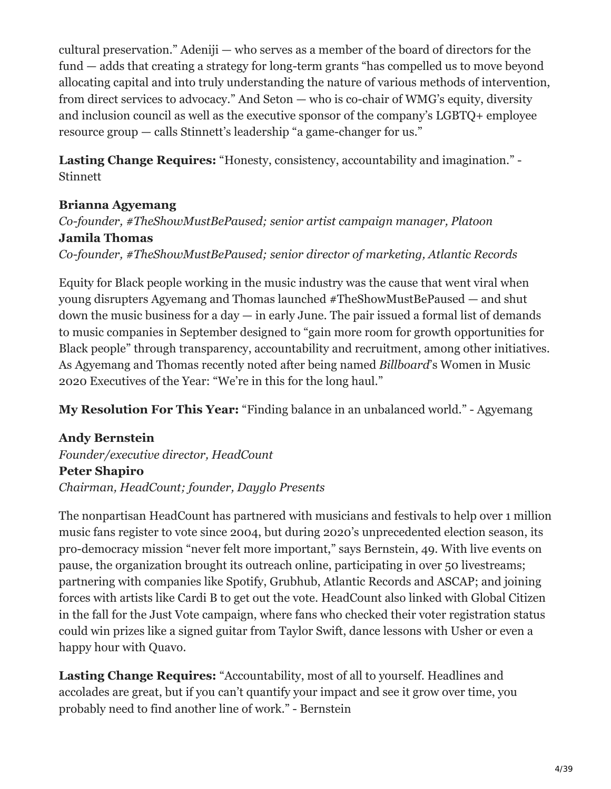cultural preservation." Adeniji — who serves as a member of the board of directors for the fund — adds that creating a strategy for long-term grants "has compelled us to move beyond allocating capital and into truly understanding the nature of various methods of intervention, from direct services to advocacy." And Seton — who is co-chair of WMG's equity, diversity and inclusion council as well as the executive sponsor of the company's LGBTQ+ employee resource group — calls Stinnett's leadership "a game-changer for us."

**Lasting Change Requires:** "Honesty, consistency, accountability and imagination." - Stinnett

#### **Brianna Agyemang**

*Co-founder, #TheShowMustBePaused; senior artist campaign manager, Platoon* **Jamila Thomas** *Co-founder, #TheShowMustBePaused; senior director of marketing, Atlantic Records*

Equity for Black people working in the music industry was the cause that went viral when young disrupters Agyemang and Thomas launched #TheShowMustBePaused — and shut down the music business for a day  $-$  in early June. The pair issued a formal list of demands to music companies in September designed to "gain more room for growth opportunities for Black people" through transparency, accountability and recruitment, among other initiatives. As Agyemang and Thomas recently noted after being named *Billboard*'s Women in Music 2020 Executives of the Year: "We're in this for the long haul."

**My Resolution For This Year:** "Finding balance in an unbalanced world." - Agyemang

#### **Andy Bernstein** *Founder/executive director, HeadCount* **Peter Shapiro** *Chairman, HeadCount; founder, Dayglo Presents*

The nonpartisan HeadCount has partnered with musicians and festivals to help over 1 million music fans register to vote since 2004, but during 2020's unprecedented election season, its pro-democracy mission "never felt more important," says Bernstein, 49. With live events on pause, the organization brought its outreach online, participating in over 50 livestreams; partnering with companies like Spotify, Grubhub, Atlantic Records and ASCAP; and joining forces with artists like Cardi B to get out the vote. HeadCount also linked with Global Citizen in the fall for the Just Vote campaign, where fans who checked their voter registration status could win prizes like a signed guitar from Taylor Swift, dance lessons with Usher or even a happy hour with Quavo.

**Lasting Change Requires:** "Accountability, most of all to yourself. Headlines and accolades are great, but if you can't quantify your impact and see it grow over time, you probably need to find another line of work." - Bernstein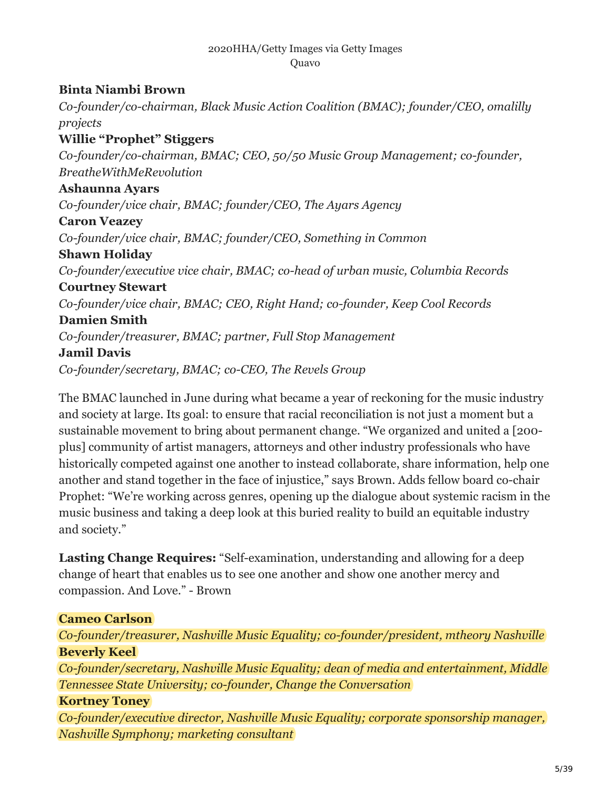#### 2020HHA/Getty Images via Getty Images Quavo

#### **Binta Niambi Brown**

*Co-founder/co-chairman, Black Music Action Coalition (BMAC); founder/CEO, omalilly projects* **Willie "Prophet" Stiggers** *Co-founder/co-chairman, BMAC; CEO, 50/50 Music Group Management; co-founder, BreatheWithMeRevolution* **Ashaunna Ayars** *Co-founder/vice chair, BMAC; founder/CEO, The Ayars Agency* **Caron Veazey** *Co-founder/vice chair, BMAC; founder/CEO, Something in Common* **Shawn Holiday** *Co-founder/executive vice chair, BMAC; co-head of urban music, Columbia Records* **Courtney Stewart** *Co-founder/vice chair, BMAC; CEO, Right Hand; co-founder, Keep Cool Records* **Damien Smith** *Co-founder/treasurer, BMAC; partner, Full Stop Management* **Jamil Davis** *Co-founder/secretary, BMAC; co-CEO, The Revels Group*

The BMAC launched in June during what became a year of reckoning for the music industry and society at large. Its goal: to ensure that racial reconciliation is not just a moment but a sustainable movement to bring about permanent change. "We organized and united a [200 plus] community of artist managers, attorneys and other industry professionals who have historically competed against one another to instead collaborate, share information, help one another and stand together in the face of injustice," says Brown. Adds fellow board co-chair Prophet: "We're working across genres, opening up the dialogue about systemic racism in the music business and taking a deep look at this buried reality to build an equitable industry and society."

**Lasting Change Requires:** "Self-examination, understanding and allowing for a deep change of heart that enables us to see one another and show one another mercy and compassion. And Love." - Brown

#### **Cameo Carlson**

*Co-founder/treasurer, Nashville Music Equality; co-founder/president, mtheory Nashville* **Beverly Keel**

*Co-founder/secretary, Nashville Music Equality; dean of media and entertainment, Middle Tennessee State University; co-founder, Change the Conversation*

#### **Kortney Toney**

*Co-founder/executive director, Nashville Music Equality; corporate sponsorship manager, Nashville Symphony; marketing consultant*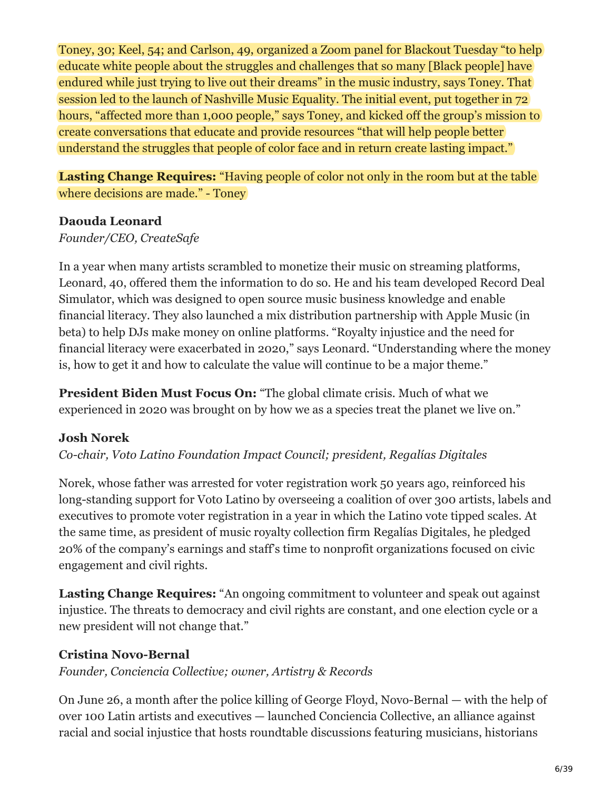Toney, 30; Keel, 54; and Carlson, 49, organized a Zoom panel for Blackout Tuesday "to help educate white people about the struggles and challenges that so many [Black people] have endured while just trying to live out their dreams" in the music industry, says Toney. That session led to the launch of Nashville Music Equality. The initial event, put together in 72 hours, "affected more than 1,000 people," says Toney, and kicked off the group's mission to create conversations that educate and provide resources "that will help people better understand the struggles that people of color face and in return create lasting impact."

**Lasting Change Requires:** "Having people of color not only in the room but at the table where decisions are made." - Toney

#### **Daouda Leonard**

#### *Founder/CEO, CreateSafe*

In a year when many artists scrambled to monetize their music on streaming platforms, Leonard, 40, offered them the information to do so. He and his team developed Record Deal Simulator, which was designed to open source music business knowledge and enable financial literacy. They also launched a mix distribution partnership with Apple Music (in beta) to help DJs make money on online platforms. "Royalty injustice and the need for financial literacy were exacerbated in 2020," says Leonard. "Understanding where the money is, how to get it and how to calculate the value will continue to be a major theme."

**President Biden Must Focus On:** "The global climate crisis. Much of what we experienced in 2020 was brought on by how we as a species treat the planet we live on."

#### **Josh Norek**

*Co-chair, Voto Latino Foundation Impact Council; president, Regalías Digitales*

Norek, whose father was arrested for voter registration work 50 years ago, reinforced his long-standing support for Voto Latino by overseeing a coalition of over 300 artists, labels and executives to promote voter registration in a year in which the Latino vote tipped scales. At the same time, as president of music royalty collection firm Regalías Digitales, he pledged 20% of the company's earnings and staff's time to nonprofit organizations focused on civic engagement and civil rights.

**Lasting Change Requires:** "An ongoing commitment to volunteer and speak out against injustice. The threats to democracy and civil rights are constant, and one election cycle or a new president will not change that."

#### **Cristina Novo-Bernal**

*Founder, Conciencia Collective; owner, Artistry & Records*

On June 26, a month after the police killing of George Floyd, Novo-Bernal — with the help of over 100 Latin artists and executives — launched Conciencia Collective, an alliance against racial and social injustice that hosts roundtable discussions featuring musicians, historians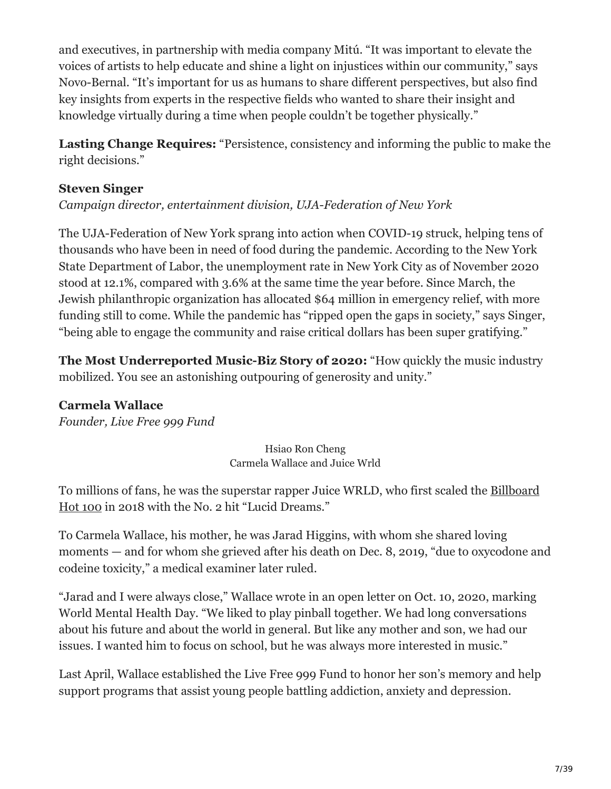and executives, in partnership with media company Mitú. "It was important to elevate the voices of artists to help educate and shine a light on injustices within our community," says Novo-Bernal. "It's important for us as humans to share different perspectives, but also find key insights from experts in the respective fields who wanted to share their insight and knowledge virtually during a time when people couldn't be together physically."

**Lasting Change Requires:** "Persistence, consistency and informing the public to make the right decisions."

#### **Steven Singer**

*Campaign director, entertainment division, UJA-Federation of New York*

The UJA-Federation of New York sprang into action when COVID-19 struck, helping tens of thousands who have been in need of food during the pandemic. According to the New York State Department of Labor, the unemployment rate in New York City as of November 2020 stood at 12.1%, compared with 3.6% at the same time the year before. Since March, the Jewish philanthropic organization has allocated \$64 million in emergency relief, with more funding still to come. While the pandemic has "ripped open the gaps in society," says Singer, "being able to engage the community and raise critical dollars has been super gratifying."

**The Most Underreported Music-Biz Story of 2020:** "How quickly the music industry mobilized. You see an astonishing outpouring of generosity and unity."

#### **Carmela Wallace**

*Founder, Live Free 999 Fund*

Hsiao Ron Cheng Carmela Wallace and Juice Wrld

[To millions of fans, he was the superstar rapper Juice WRLD, who first scaled the Billboard](https://www.billboard.com/charts/hot-100) Hot 100 in 2018 with the No. 2 hit "Lucid Dreams."

To Carmela Wallace, his mother, he was Jarad Higgins, with whom she shared loving moments — and for whom she grieved after his death on Dec. 8, 2019, "due to oxycodone and codeine toxicity," a medical examiner later ruled.

"Jarad and I were always close," Wallace wrote in an open letter on Oct. 10, 2020, marking World Mental Health Day. "We liked to play pinball together. We had long conversations about his future and about the world in general. But like any mother and son, we had our issues. I wanted him to focus on school, but he was always more interested in music."

Last April, Wallace established the Live Free 999 Fund to honor her son's memory and help support programs that assist young people battling addiction, anxiety and depression.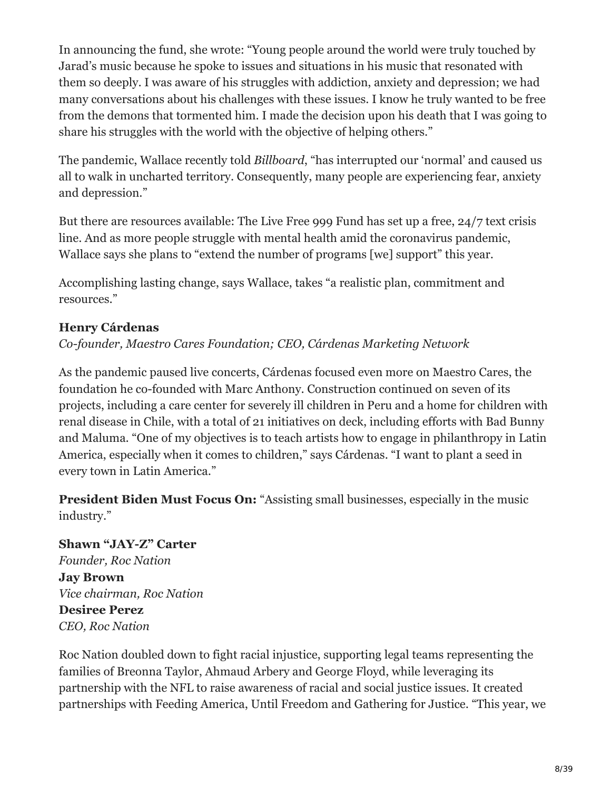In announcing the fund, she wrote: "Young people around the world were truly touched by Jarad's music because he spoke to issues and situations in his music that resonated with them so deeply. I was aware of his struggles with addiction, anxiety and depression; we had many conversations about his challenges with these issues. I know he truly wanted to be free from the demons that tormented him. I made the decision upon his death that I was going to share his struggles with the world with the objective of helping others."

The pandemic, Wallace recently told *Billboard*, "has interrupted our 'normal' and caused us all to walk in uncharted territory. Consequently, many people are experiencing fear, anxiety and depression."

But there are resources available: The Live Free 999 Fund has set up a free, 24/7 text crisis line. And as more people struggle with mental health amid the coronavirus pandemic, Wallace says she plans to "extend the number of programs [we] support" this year.

Accomplishing lasting change, says Wallace, takes "a realistic plan, commitment and resources."

#### **Henry Cárdenas**

*Co-founder, Maestro Cares Foundation; CEO, Cárdenas Marketing Network*

As the pandemic paused live concerts, Cárdenas focused even more on Maestro Cares, the foundation he co-founded with Marc Anthony. Construction continued on seven of its projects, including a care center for severely ill children in Peru and a home for children with renal disease in Chile, with a total of 21 initiatives on deck, including efforts with Bad Bunny and Maluma. "One of my objectives is to teach artists how to engage in philanthropy in Latin America, especially when it comes to children," says Cárdenas. "I want to plant a seed in every town in Latin America."

**President Biden Must Focus On:** "Assisting small businesses, especially in the music industry."

# **Shawn "JAY-Z" Carter** *Founder, Roc Nation* **Jay Brown** *Vice chairman, Roc Nation* **Desiree Perez** *CEO, Roc Nation*

Roc Nation doubled down to fight racial injustice, supporting legal teams representing the families of Breonna Taylor, Ahmaud Arbery and George Floyd, while leveraging its partnership with the NFL to raise awareness of racial and social justice issues. It created partnerships with Feeding America, Until Freedom and Gathering for Justice. "This year, we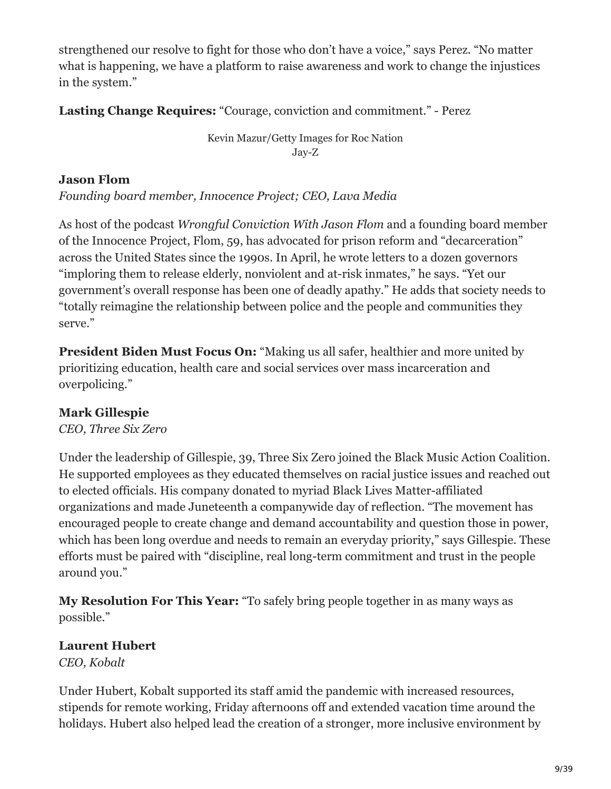strengthened our resolve to fight for those who don't have a voice," says Perez. "No matter what is happening, we have a platform to raise awareness and work to change the injustices in the system."

**Lasting Change Requires:** "Courage, conviction and commitment." - Perez

Kevin Mazur/Getty Images for Roc Nation Jay-Z

#### **Jason Flom**

*Founding board member, Innocence Project; CEO, Lava Media*

As host of the podcast *Wrongful Conviction With Jason Flom* and a founding board member of the Innocence Project, Flom, 59, has advocated for prison reform and "decarceration" across the United States since the 1990s. In April, he wrote letters to a dozen governors "imploring them to release elderly, nonviolent and at-risk inmates," he says. "Yet our government's overall response has been one of deadly apathy." He adds that society needs to "totally reimagine the relationship between police and the people and communities they serve."

**President Biden Must Focus On:** "Making us all safer, healthier and more united by prioritizing education, health care and social services over mass incarceration and overpolicing."

# **Mark Gillespie**

*CEO, Three Six Zero*

Under the leadership of Gillespie, 39, Three Six Zero joined the Black Music Action Coalition. He supported employees as they educated themselves on racial justice issues and reached out to elected officials. His company donated to myriad Black Lives Matter-affiliated organizations and made Juneteenth a companywide day of reflection. "The movement has encouraged people to create change and demand accountability and question those in power, which has been long overdue and needs to remain an everyday priority," says Gillespie. These efforts must be paired with "discipline, real long-term commitment and trust in the people around you."

**My Resolution For This Year:** "To safely bring people together in as many ways as possible."

# **Laurent Hubert**

*CEO, Kobalt*

Under Hubert, Kobalt supported its staff amid the pandemic with increased resources, stipends for remote working, Friday afternoons off and extended vacation time around the holidays. Hubert also helped lead the creation of a stronger, more inclusive environment by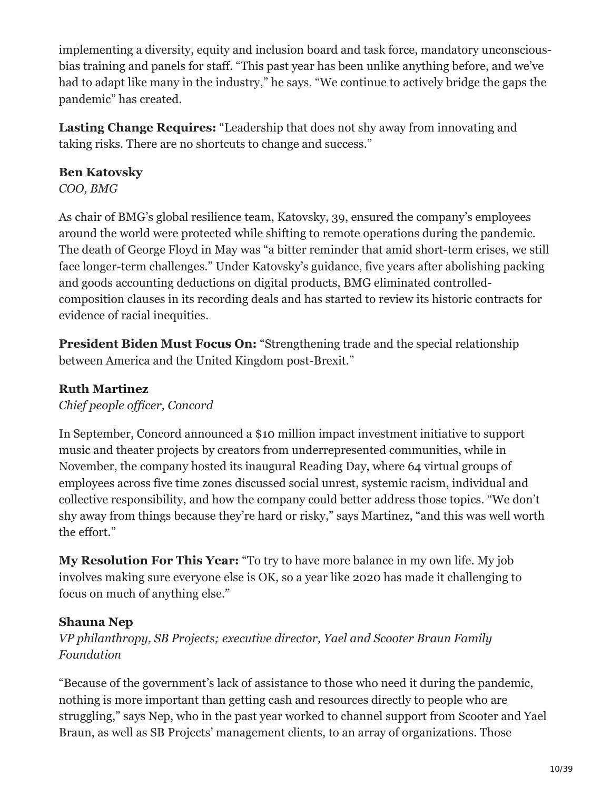implementing a diversity, equity and inclusion board and task force, mandatory unconsciousbias training and panels for staff. "This past year has been unlike anything before, and we've had to adapt like many in the industry," he says. "We continue to actively bridge the gaps the pandemic" has created.

**Lasting Change Requires:** "Leadership that does not shy away from innovating and taking risks. There are no shortcuts to change and success."

#### **Ben Katovsky**

*COO, BMG*

As chair of BMG's global resilience team, Katovsky, 39, ensured the company's employees around the world were protected while shifting to remote operations during the pandemic. The death of George Floyd in May was "a bitter reminder that amid short-term crises, we still face longer-term challenges." Under Katovsky's guidance, five years after abolishing packing and goods accounting deductions on digital products, BMG eliminated controlledcomposition clauses in its recording deals and has started to review its historic contracts for evidence of racial inequities.

**President Biden Must Focus On:** "Strengthening trade and the special relationship between America and the United Kingdom post-Brexit."

#### **Ruth Martinez**

*Chief people officer, Concord*

In September, Concord announced a \$10 million impact investment initiative to support music and theater projects by creators from underrepresented communities, while in November, the company hosted its inaugural Reading Day, where 64 virtual groups of employees across five time zones discussed social unrest, systemic racism, individual and collective responsibility, and how the company could better address those topics. "We don't shy away from things because they're hard or risky," says Martinez, "and this was well worth the effort."

**My Resolution For This Year:** "To try to have more balance in my own life. My job involves making sure everyone else is OK, so a year like 2020 has made it challenging to focus on much of anything else."

#### **Shauna Nep**

*VP philanthropy, SB Projects; executive director, Yael and Scooter Braun Family Foundation*

"Because of the government's lack of assistance to those who need it during the pandemic, nothing is more important than getting cash and resources directly to people who are struggling," says Nep, who in the past year worked to channel support from Scooter and Yael Braun, as well as SB Projects' management clients, to an array of organizations. Those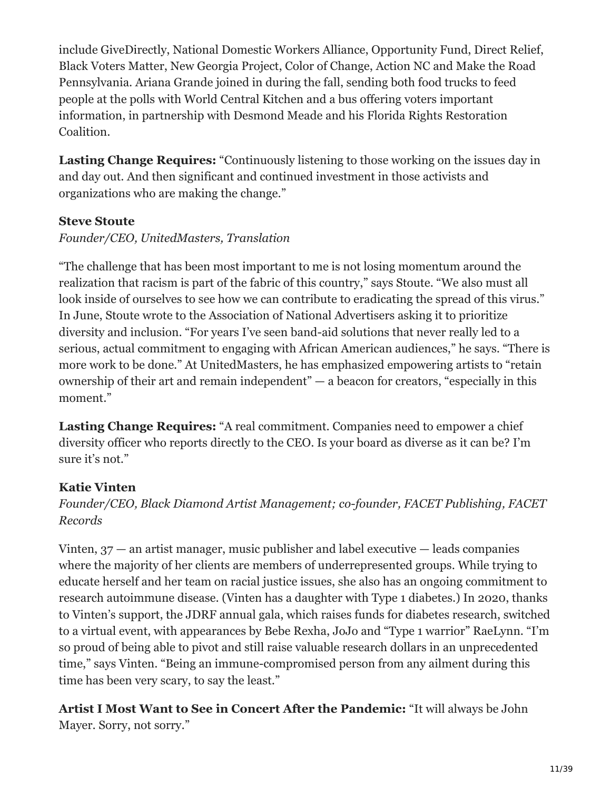include GiveDirectly, National Domestic Workers Alliance, Opportunity Fund, Direct Relief, Black Voters Matter, New Georgia Project, Color of Change, Action NC and Make the Road Pennsylvania. Ariana Grande joined in during the fall, sending both food trucks to feed people at the polls with World Central Kitchen and a bus offering voters important information, in partnership with Desmond Meade and his Florida Rights Restoration Coalition.

Lasting Change Requires: "Continuously listening to those working on the issues day in and day out. And then significant and continued investment in those activists and organizations who are making the change."

#### **Steve Stoute**

#### *Founder/CEO, UnitedMasters, Translation*

"The challenge that has been most important to me is not losing momentum around the realization that racism is part of the fabric of this country," says Stoute. "We also must all look inside of ourselves to see how we can contribute to eradicating the spread of this virus." In June, Stoute wrote to the Association of National Advertisers asking it to prioritize diversity and inclusion. "For years I've seen band-aid solutions that never really led to a serious, actual commitment to engaging with African American audiences," he says. "There is more work to be done." At UnitedMasters, he has emphasized empowering artists to "retain ownership of their art and remain independent" — a beacon for creators, "especially in this moment."

**Lasting Change Requires:** "A real commitment. Companies need to empower a chief diversity officer who reports directly to the CEO. Is your board as diverse as it can be? I'm sure it's not."

# **Katie Vinten**

*Founder/CEO, Black Diamond Artist Management; co-founder, FACET Publishing, FACET Records*

Vinten,  $37$  — an artist manager, music publisher and label executive — leads companies where the majority of her clients are members of underrepresented groups. While trying to educate herself and her team on racial justice issues, she also has an ongoing commitment to research autoimmune disease. (Vinten has a daughter with Type 1 diabetes.) In 2020, thanks to Vinten's support, the JDRF annual gala, which raises funds for diabetes research, switched to a virtual event, with appearances by Bebe Rexha, JoJo and "Type 1 warrior" RaeLynn. "I'm so proud of being able to pivot and still raise valuable research dollars in an unprecedented time," says Vinten. "Being an immune-compromised person from any ailment during this time has been very scary, to say the least."

**Artist I Most Want to See in Concert After the Pandemic:** "It will always be John Mayer. Sorry, not sorry."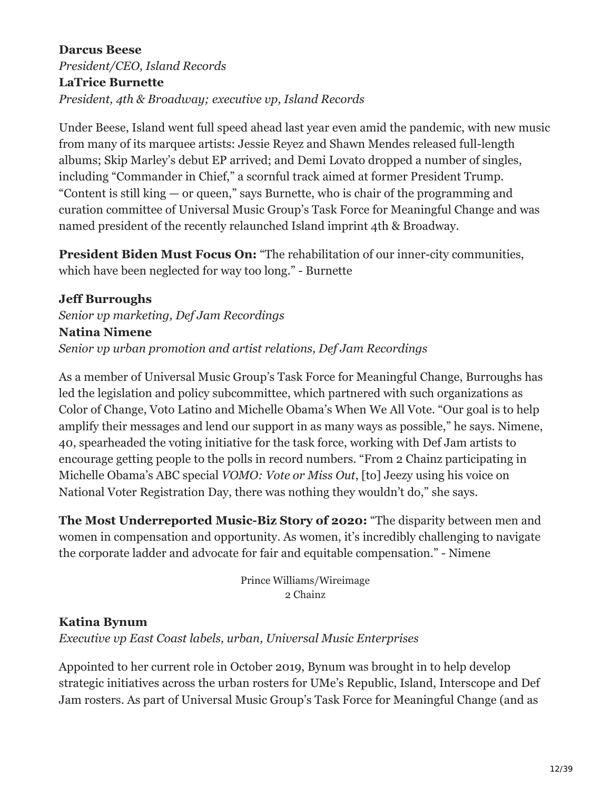**Darcus Beese** *President/CEO, Island Records* **LaTrice Burnette** *President, 4th & Broadway; executive vp, Island Records*

Under Beese, Island went full speed ahead last year even amid the pandemic, with new music from many of its marquee artists: Jessie Reyez and Shawn Mendes released full-length albums; Skip Marley's debut EP arrived; and Demi Lovato dropped a number of singles, including "Commander in Chief," a scornful track aimed at former President Trump. "Content is still king — or queen," says Burnette, who is chair of the programming and curation committee of Universal Music Group's Task Force for Meaningful Change and was named president of the recently relaunched Island imprint 4th & Broadway.

**President Biden Must Focus On:** "The rehabilitation of our inner-city communities, which have been neglected for way too long." - Burnette

#### **Jeff Burroughs**

*Senior vp marketing, Def Jam Recordings* **Natina Nimene** *Senior vp urban promotion and artist relations, Def Jam Recordings*

As a member of Universal Music Group's Task Force for Meaningful Change, Burroughs has led the legislation and policy subcommittee, which partnered with such organizations as Color of Change, Voto Latino and Michelle Obama's When We All Vote. "Our goal is to help amplify their messages and lend our support in as many ways as possible," he says. Nimene, 40, spearheaded the voting initiative for the task force, working with Def Jam artists to encourage getting people to the polls in record numbers. "From 2 Chainz participating in Michelle Obama's ABC special *VOMO: Vote or Miss Out*, [to] Jeezy using his voice on National Voter Registration Day, there was nothing they wouldn't do," she says.

**The Most Underreported Music-Biz Story of 2020:** "The disparity between men and women in compensation and opportunity. As women, it's incredibly challenging to navigate the corporate ladder and advocate for fair and equitable compensation." - Nimene

> Prince Williams/Wireimage 2 Chainz

#### **Katina Bynum**

*Executive vp East Coast labels, urban, Universal Music Enterprises*

Appointed to her current role in October 2019, Bynum was brought in to help develop strategic initiatives across the urban rosters for UMe's Republic, Island, Interscope and Def Jam rosters. As part of Universal Music Group's Task Force for Meaningful Change (and as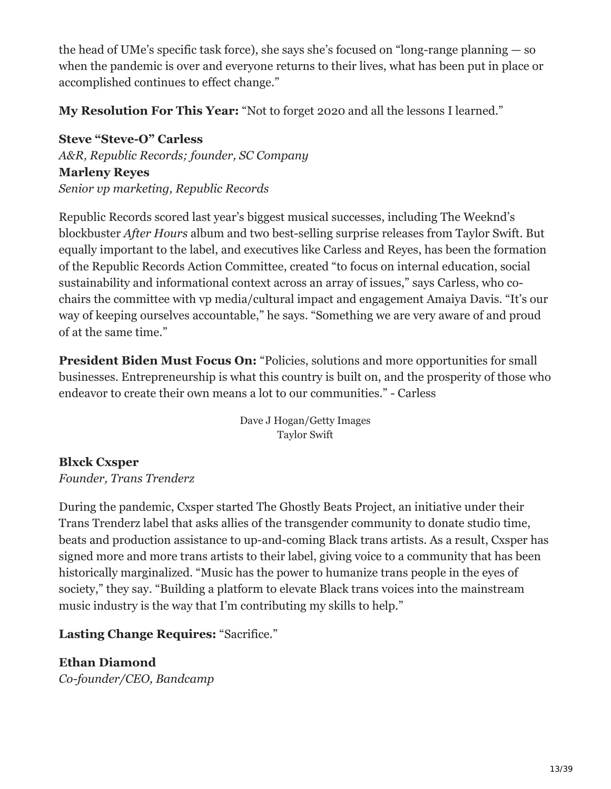the head of UMe's specific task force), she says she's focused on "long-range planning — so when the pandemic is over and everyone returns to their lives, what has been put in place or accomplished continues to effect change."

**My Resolution For This Year:** "Not to forget 2020 and all the lessons I learned."

**Steve "Steve-O" Carless** *A&R, Republic Records; founder, SC Company* **Marleny Reyes** *Senior vp marketing, Republic Records*

Republic Records scored last year's biggest musical successes, including The Weeknd's blockbuster *After Hours* album and two best-selling surprise releases from Taylor Swift. But equally important to the label, and executives like Carless and Reyes, has been the formation of the Republic Records Action Committee, created "to focus on internal education, social sustainability and informational context across an array of issues," says Carless, who cochairs the committee with vp media/cultural impact and engagement Amaiya Davis. "It's our way of keeping ourselves accountable," he says. "Something we are very aware of and proud of at the same time."

**President Biden Must Focus On:** "Policies, solutions and more opportunities for small businesses. Entrepreneurship is what this country is built on, and the prosperity of those who endeavor to create their own means a lot to our communities." - Carless

> Dave J Hogan/Getty Images Taylor Swift

# **Blxck Cxsper**

*Founder, Trans Trenderz*

During the pandemic, Cxsper started The Ghostly Beats Project, an initiative under their Trans Trenderz label that asks allies of the transgender community to donate studio time, beats and production assistance to up-and-coming Black trans artists. As a result, Cxsper has signed more and more trans artists to their label, giving voice to a community that has been historically marginalized. "Music has the power to humanize trans people in the eyes of society," they say. "Building a platform to elevate Black trans voices into the mainstream music industry is the way that I'm contributing my skills to help."

**Lasting Change Requires:** "Sacrifice."

# **Ethan Diamond**

*Co-founder/CEO, Bandcamp*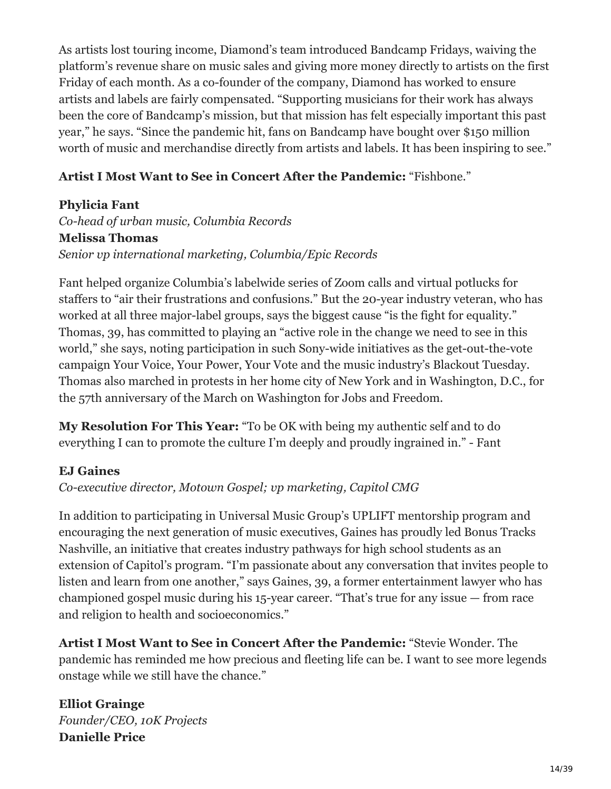As artists lost touring income, Diamond's team introduced Bandcamp Fridays, waiving the platform's revenue share on music sales and giving more money directly to artists on the first Friday of each month. As a co-founder of the company, Diamond has worked to ensure artists and labels are fairly compensated. "Supporting musicians for their work has always been the core of Bandcamp's mission, but that mission has felt especially important this past year," he says. "Since the pandemic hit, fans on Bandcamp have bought over \$150 million worth of music and merchandise directly from artists and labels. It has been inspiring to see."

#### **Artist I Most Want to See in Concert After the Pandemic:** "Fishbone."

#### **Phylicia Fant**

*Co-head of urban music, Columbia Records* **Melissa Thomas** *Senior vp international marketing, Columbia/Epic Records*

Fant helped organize Columbia's labelwide series of Zoom calls and virtual potlucks for staffers to "air their frustrations and confusions." But the 20-year industry veteran, who has worked at all three major-label groups, says the biggest cause "is the fight for equality." Thomas, 39, has committed to playing an "active role in the change we need to see in this world," she says, noting participation in such Sony-wide initiatives as the get-out-the-vote campaign Your Voice, Your Power, Your Vote and the music industry's Blackout Tuesday. Thomas also marched in protests in her home city of New York and in Washington, D.C., for the 57th anniversary of the March on Washington for Jobs and Freedom.

**My Resolution For This Year:** "To be OK with being my authentic self and to do everything I can to promote the culture I'm deeply and proudly ingrained in." - Fant

#### **EJ Gaines**

*Co-executive director, Motown Gospel; vp marketing, Capitol CMG*

In addition to participating in Universal Music Group's UPLIFT mentorship program and encouraging the next generation of music executives, Gaines has proudly led Bonus Tracks Nashville, an initiative that creates industry pathways for high school students as an extension of Capitol's program. "I'm passionate about any conversation that invites people to listen and learn from one another," says Gaines, 39, a former entertainment lawyer who has championed gospel music during his 15-year career. "That's true for any issue — from race and religion to health and socioeconomics."

**Artist I Most Want to See in Concert After the Pandemic:** "Stevie Wonder. The pandemic has reminded me how precious and fleeting life can be. I want to see more legends onstage while we still have the chance."

**Elliot Grainge** *Founder/CEO, 10K Projects* **Danielle Price**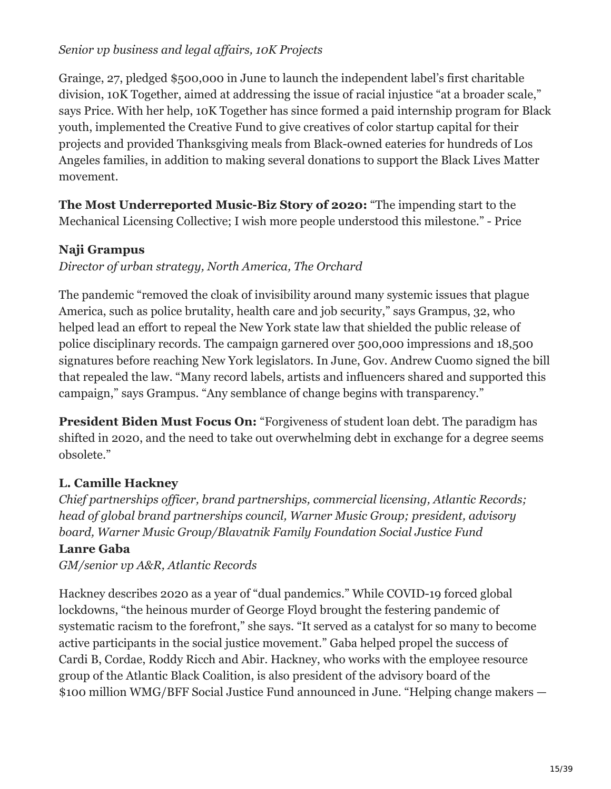#### *Senior vp business and legal affairs, 10K Projects*

Grainge, 27, pledged \$500,000 in June to launch the independent label's first charitable division, 10K Together, aimed at addressing the issue of racial injustice "at a broader scale," says Price. With her help, 10K Together has since formed a paid internship program for Black youth, implemented the Creative Fund to give creatives of color startup capital for their projects and provided Thanksgiving meals from Black-owned eateries for hundreds of Los Angeles families, in addition to making several donations to support the Black Lives Matter movement.

**The Most Underreported Music-Biz Story of 2020:** "The impending start to the Mechanical Licensing Collective; I wish more people understood this milestone." - Price

# **Naji Grampus**

*Director of urban strategy, North America, The Orchard*

The pandemic "removed the cloak of invisibility around many systemic issues that plague America, such as police brutality, health care and job security," says Grampus, 32, who helped lead an effort to repeal the New York state law that shielded the public release of police disciplinary records. The campaign garnered over 500,000 impressions and 18,500 signatures before reaching New York legislators. In June, Gov. Andrew Cuomo signed the bill that repealed the law. "Many record labels, artists and influencers shared and supported this campaign," says Grampus. "Any semblance of change begins with transparency."

**President Biden Must Focus On:** "Forgiveness of student loan debt. The paradigm has shifted in 2020, and the need to take out overwhelming debt in exchange for a degree seems obsolete."

# **L. Camille Hackney**

*Chief partnerships officer, brand partnerships, commercial licensing, Atlantic Records; head of global brand partnerships council, Warner Music Group; president, advisory board, Warner Music Group/Blavatnik Family Foundation Social Justice Fund*

#### **Lanre Gaba**

*GM/senior vp A&R, Atlantic Records*

Hackney describes 2020 as a year of "dual pandemics." While COVID-19 forced global lockdowns, "the heinous murder of George Floyd brought the festering pandemic of systematic racism to the forefront," she says. "It served as a catalyst for so many to become active participants in the social justice movement." Gaba helped propel the success of Cardi B, Cordae, Roddy Ricch and Abir. Hackney, who works with the employee resource group of the Atlantic Black Coalition, is also president of the advisory board of the \$100 million WMG/BFF Social Justice Fund announced in June. "Helping change makers —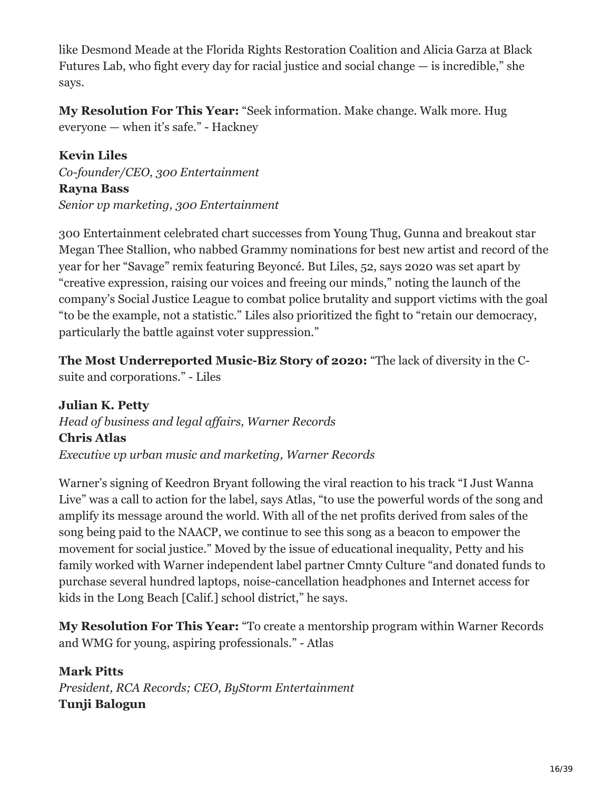like Desmond Meade at the Florida Rights Restoration Coalition and Alicia Garza at Black Futures Lab, who fight every day for racial justice and social change — is incredible," she says.

**My Resolution For This Year:** "Seek information. Make change. Walk more. Hug everyone — when it's safe." - Hackney

**Kevin Liles** *Co-founder/CEO, 300 Entertainment* **Rayna Bass** *Senior vp marketing, 300 Entertainment*

300 Entertainment celebrated chart successes from Young Thug, Gunna and breakout star Megan Thee Stallion, who nabbed Grammy nominations for best new artist and record of the year for her "Savage" remix featuring Beyoncé. But Liles, 52, says 2020 was set apart by "creative expression, raising our voices and freeing our minds," noting the launch of the company's Social Justice League to combat police brutality and support victims with the goal "to be the example, not a statistic." Liles also prioritized the fight to "retain our democracy, particularly the battle against voter suppression."

**The Most Underreported Music-Biz Story of 2020:** "The lack of diversity in the Csuite and corporations." - Liles

**Julian K. Petty** *Head of business and legal affairs, Warner Records* **Chris Atlas** *Executive vp urban music and marketing, Warner Records*

Warner's signing of Keedron Bryant following the viral reaction to his track "I Just Wanna Live" was a call to action for the label, says Atlas, "to use the powerful words of the song and amplify its message around the world. With all of the net profits derived from sales of the song being paid to the NAACP, we continue to see this song as a beacon to empower the movement for social justice." Moved by the issue of educational inequality, Petty and his family worked with Warner independent label partner Cmnty Culture "and donated funds to purchase several hundred laptops, noise-cancellation headphones and Internet access for kids in the Long Beach [Calif.] school district," he says.

**My Resolution For This Year:** "To create a mentorship program within Warner Records and WMG for young, aspiring professionals." - Atlas

**Mark Pitts** *President, RCA Records; CEO, ByStorm Entertainment* **Tunji Balogun**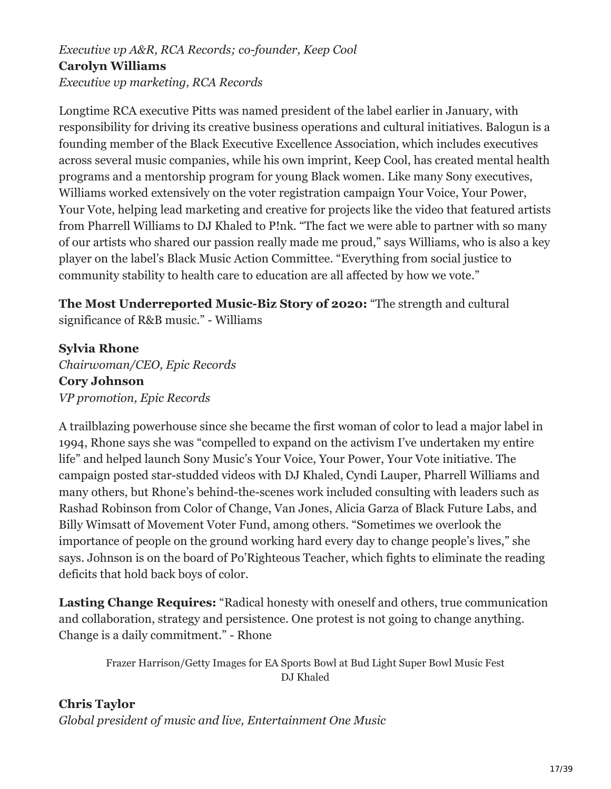# *Executive vp A&R, RCA Records; co-founder, Keep Cool* **Carolyn Williams**

*Executive vp marketing, RCA Records*

Longtime RCA executive Pitts was named president of the label earlier in January, with responsibility for driving its creative business operations and cultural initiatives. Balogun is a founding member of the Black Executive Excellence Association, which includes executives across several music companies, while his own imprint, Keep Cool, has created mental health programs and a mentorship program for young Black women. Like many Sony executives, Williams worked extensively on the voter registration campaign Your Voice, Your Power, Your Vote, helping lead marketing and creative for projects like the video that featured artists from Pharrell Williams to DJ Khaled to P!nk. "The fact we were able to partner with so many of our artists who shared our passion really made me proud," says Williams, who is also a key player on the label's Black Music Action Committee. "Everything from social justice to community stability to health care to education are all affected by how we vote."

**The Most Underreported Music-Biz Story of 2020:** "The strength and cultural significance of R&B music." - Williams

**Sylvia Rhone**

*Chairwoman/CEO, Epic Records* **Cory Johnson** *VP promotion, Epic Records*

A trailblazing powerhouse since she became the first woman of color to lead a major label in 1994, Rhone says she was "compelled to expand on the activism I've undertaken my entire life" and helped launch Sony Music's Your Voice, Your Power, Your Vote initiative. The campaign posted star-studded videos with DJ Khaled, Cyndi Lauper, Pharrell Williams and many others, but Rhone's behind-the-scenes work included consulting with leaders such as Rashad Robinson from Color of Change, Van Jones, Alicia Garza of Black Future Labs, and Billy Wimsatt of Movement Voter Fund, among others. "Sometimes we overlook the importance of people on the ground working hard every day to change people's lives," she says. Johnson is on the board of Po'Righteous Teacher, which fights to eliminate the reading deficits that hold back boys of color.

**Lasting Change Requires:** "Radical honesty with oneself and others, true communication and collaboration, strategy and persistence. One protest is not going to change anything. Change is a daily commitment." - Rhone

Frazer Harrison/Getty Images for EA Sports Bowl at Bud Light Super Bowl Music Fest DJ Khaled

**Chris Taylor** *Global president of music and live, Entertainment One Music*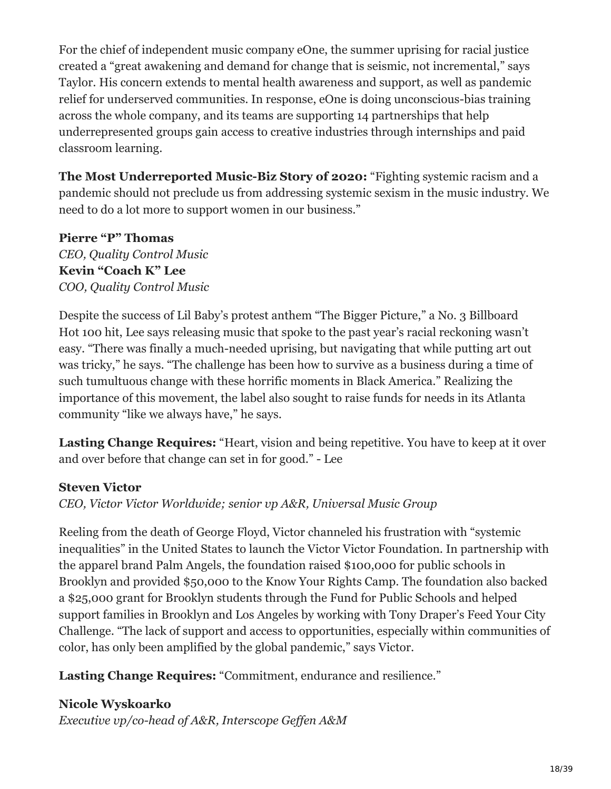For the chief of independent music company eOne, the summer uprising for racial justice created a "great awakening and demand for change that is seismic, not incremental," says Taylor. His concern extends to mental health awareness and support, as well as pandemic relief for underserved communities. In response, eOne is doing unconscious-bias training across the whole company, and its teams are supporting 14 partnerships that help underrepresented groups gain access to creative industries through internships and paid classroom learning.

**The Most Underreported Music-Biz Story of 2020:** "Fighting systemic racism and a pandemic should not preclude us from addressing systemic sexism in the music industry. We need to do a lot more to support women in our business."

**Pierre "P" Thomas** *CEO, Quality Control Music* **Kevin "Coach K" Lee** *COO, Quality Control Music*

Despite the success of Lil Baby's protest anthem "The Bigger Picture," a No. 3 Billboard Hot 100 hit, Lee says releasing music that spoke to the past year's racial reckoning wasn't easy. "There was finally a much-needed uprising, but navigating that while putting art out was tricky," he says. "The challenge has been how to survive as a business during a time of such tumultuous change with these horrific moments in Black America." Realizing the importance of this movement, the label also sought to raise funds for needs in its Atlanta community "like we always have," he says.

**Lasting Change Requires:** "Heart, vision and being repetitive. You have to keep at it over and over before that change can set in for good." - Lee

#### **Steven Victor**

*CEO, Victor Victor Worldwide; senior vp A&R, Universal Music Group*

Reeling from the death of George Floyd, Victor channeled his frustration with "systemic inequalities" in the United States to launch the Victor Victor Foundation. In partnership with the apparel brand Palm Angels, the foundation raised \$100,000 for public schools in Brooklyn and provided \$50,000 to the Know Your Rights Camp. The foundation also backed a \$25,000 grant for Brooklyn students through the Fund for Public Schools and helped support families in Brooklyn and Los Angeles by working with Tony Draper's Feed Your City Challenge. "The lack of support and access to opportunities, especially within communities of color, has only been amplified by the global pandemic," says Victor.

**Lasting Change Requires:** "Commitment, endurance and resilience."

#### **Nicole Wyskoarko**

*Executive vp/co-head of A&R, Interscope Geffen A&M*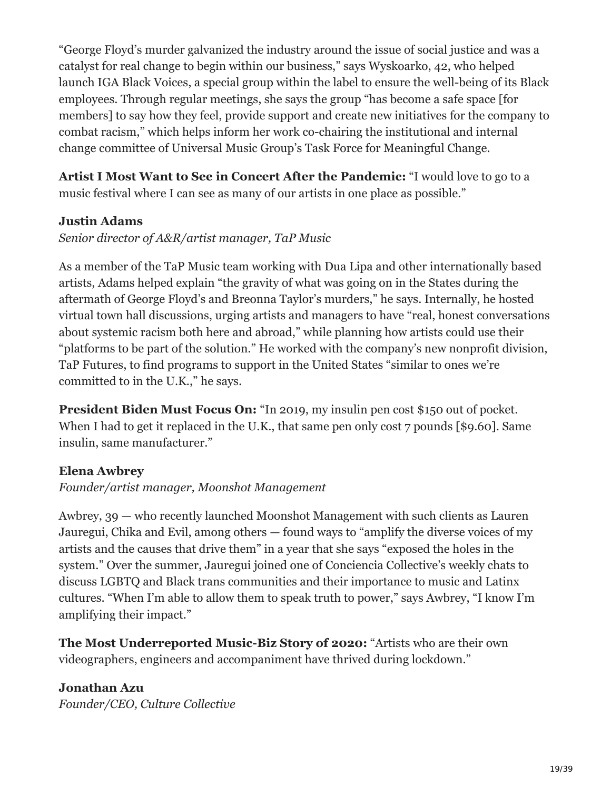"George Floyd's murder galvanized the industry around the issue of social justice and was a catalyst for real change to begin within our business," says Wyskoarko, 42, who helped launch IGA Black Voices, a special group within the label to ensure the well-being of its Black employees. Through regular meetings, she says the group "has become a safe space [for members] to say how they feel, provide support and create new initiatives for the company to combat racism," which helps inform her work co-chairing the institutional and internal change committee of Universal Music Group's Task Force for Meaningful Change.

**Artist I Most Want to See in Concert After the Pandemic:** "I would love to go to a music festival where I can see as many of our artists in one place as possible."

#### **Justin Adams**

#### *Senior director of A&R/artist manager, TaP Music*

As a member of the TaP Music team working with Dua Lipa and other internationally based artists, Adams helped explain "the gravity of what was going on in the States during the aftermath of George Floyd's and Breonna Taylor's murders," he says. Internally, he hosted virtual town hall discussions, urging artists and managers to have "real, honest conversations about systemic racism both here and abroad," while planning how artists could use their "platforms to be part of the solution." He worked with the company's new nonprofit division, TaP Futures, to find programs to support in the United States "similar to ones we're committed to in the U.K.," he says.

**President Biden Must Focus On:** "In 2019, my insulin pen cost \$150 out of pocket. When I had to get it replaced in the U.K., that same pen only cost 7 pounds [\$9.60]. Same insulin, same manufacturer."

#### **Elena Awbrey**

#### *Founder/artist manager, Moonshot Management*

Awbrey, 39 — who recently launched Moonshot Management with such clients as Lauren Jauregui, Chika and Evil, among others — found ways to "amplify the diverse voices of my artists and the causes that drive them" in a year that she says "exposed the holes in the system." Over the summer, Jauregui joined one of Conciencia Collective's weekly chats to discuss LGBTQ and Black trans communities and their importance to music and Latinx cultures. "When I'm able to allow them to speak truth to power," says Awbrey, "I know I'm amplifying their impact."

**The Most Underreported Music-Biz Story of 2020:** "Artists who are their own videographers, engineers and accompaniment have thrived during lockdown."

**Jonathan Azu** *Founder/CEO, Culture Collective*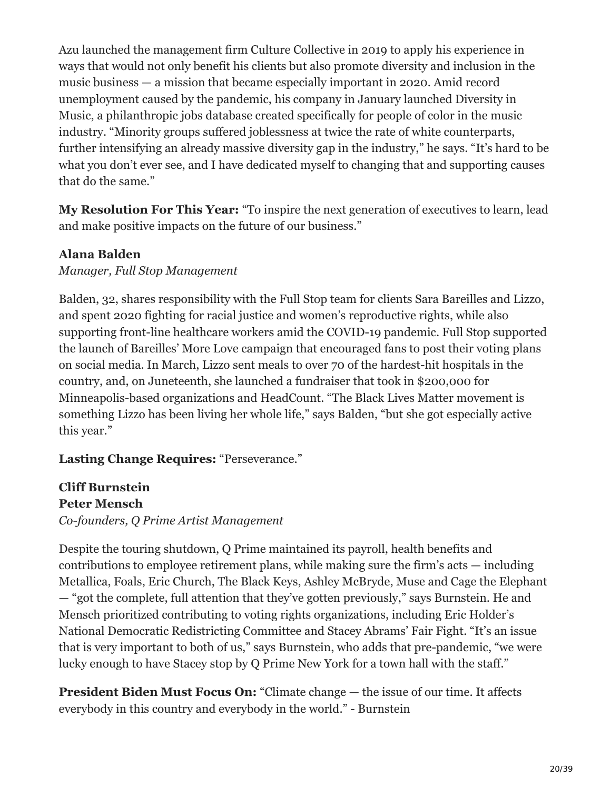Azu launched the management firm Culture Collective in 2019 to apply his experience in ways that would not only benefit his clients but also promote diversity and inclusion in the music business — a mission that became especially important in 2020. Amid record unemployment caused by the pandemic, his company in January launched Diversity in Music, a philanthropic jobs database created specifically for people of color in the music industry. "Minority groups suffered joblessness at twice the rate of white counterparts, further intensifying an already massive diversity gap in the industry," he says. "It's hard to be what you don't ever see, and I have dedicated myself to changing that and supporting causes that do the same."

**My Resolution For This Year:** "To inspire the next generation of executives to learn, lead and make positive impacts on the future of our business."

#### **Alana Balden**

*Manager, Full Stop Management*

Balden, 32, shares responsibility with the Full Stop team for clients Sara Bareilles and Lizzo, and spent 2020 fighting for racial justice and women's reproductive rights, while also supporting front-line healthcare workers amid the COVID-19 pandemic. Full Stop supported the launch of Bareilles' More Love campaign that encouraged fans to post their voting plans on social media. In March, Lizzo sent meals to over 70 of the hardest-hit hospitals in the country, and, on Juneteenth, she launched a fundraiser that took in \$200,000 for Minneapolis-based organizations and HeadCount. "The Black Lives Matter movement is something Lizzo has been living her whole life," says Balden, "but she got especially active this year."

#### **Lasting Change Requires:** "Perseverance."

#### **Cliff Burnstein Peter Mensch**

*Co-founders, Q Prime Artist Management*

Despite the touring shutdown, Q Prime maintained its payroll, health benefits and contributions to employee retirement plans, while making sure the firm's acts — including Metallica, Foals, Eric Church, The Black Keys, Ashley McBryde, Muse and Cage the Elephant — "got the complete, full attention that they've gotten previously," says Burnstein. He and Mensch prioritized contributing to voting rights organizations, including Eric Holder's National Democratic Redistricting Committee and Stacey Abrams' Fair Fight. "It's an issue that is very important to both of us," says Burnstein, who adds that pre-pandemic, "we were lucky enough to have Stacey stop by Q Prime New York for a town hall with the staff."

**President Biden Must Focus On:** "Climate change — the issue of our time. It affects everybody in this country and everybody in the world." - Burnstein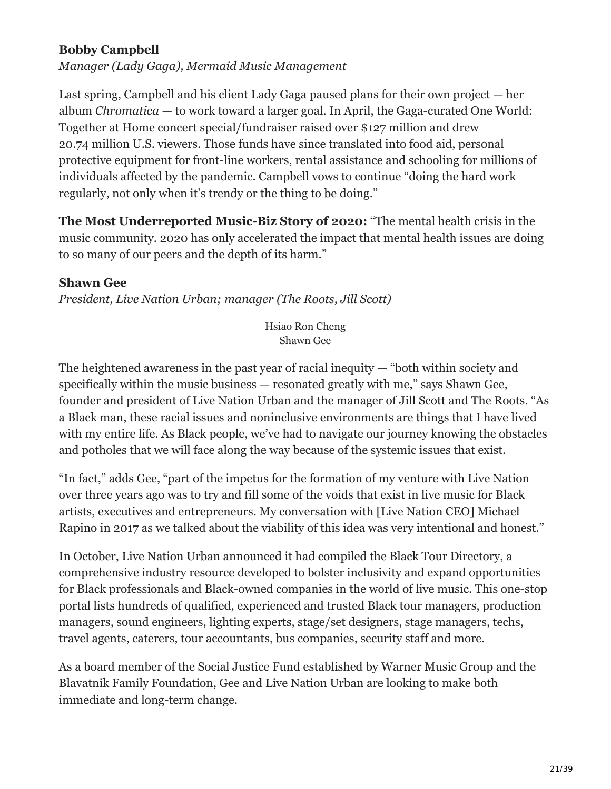#### **Bobby Campbell**

*Manager (Lady Gaga), Mermaid Music Management*

Last spring, Campbell and his client Lady Gaga paused plans for their own project — her album *Chromatica* — to work toward a larger goal. In April, the Gaga-curated One World: Together at Home concert special/fundraiser raised over \$127 million and drew 20.74 million U.S. viewers. Those funds have since translated into food aid, personal protective equipment for front-line workers, rental assistance and schooling for millions of individuals affected by the pandemic. Campbell vows to continue "doing the hard work regularly, not only when it's trendy or the thing to be doing."

**The Most Underreported Music-Biz Story of 2020:** "The mental health crisis in the music community. 2020 has only accelerated the impact that mental health issues are doing to so many of our peers and the depth of its harm."

#### **Shawn Gee**

*President, Live Nation Urban; manager (The Roots, Jill Scott)*

Hsiao Ron Cheng Shawn Gee

The heightened awareness in the past year of racial inequity — "both within society and specifically within the music business — resonated greatly with me," says Shawn Gee, founder and president of Live Nation Urban and the manager of Jill Scott and The Roots. "As a Black man, these racial issues and noninclusive environments are things that I have lived with my entire life. As Black people, we've had to navigate our journey knowing the obstacles and potholes that we will face along the way because of the systemic issues that exist.

"In fact," adds Gee, "part of the impetus for the formation of my venture with Live Nation over three years ago was to try and fill some of the voids that exist in live music for Black artists, executives and entrepreneurs. My conversation with [Live Nation CEO] Michael Rapino in 2017 as we talked about the viability of this idea was very intentional and honest."

In October, Live Nation Urban announced it had compiled the Black Tour Directory, a comprehensive industry resource developed to bolster inclusivity and expand opportunities for Black professionals and Black-owned companies in the world of live music. This one-stop portal lists hundreds of qualified, experienced and trusted Black tour managers, production managers, sound engineers, lighting experts, stage/set designers, stage managers, techs, travel agents, caterers, tour accountants, bus companies, security staff and more.

As a board member of the Social Justice Fund established by Warner Music Group and the Blavatnik Family Foundation, Gee and Live Nation Urban are looking to make both immediate and long-term change.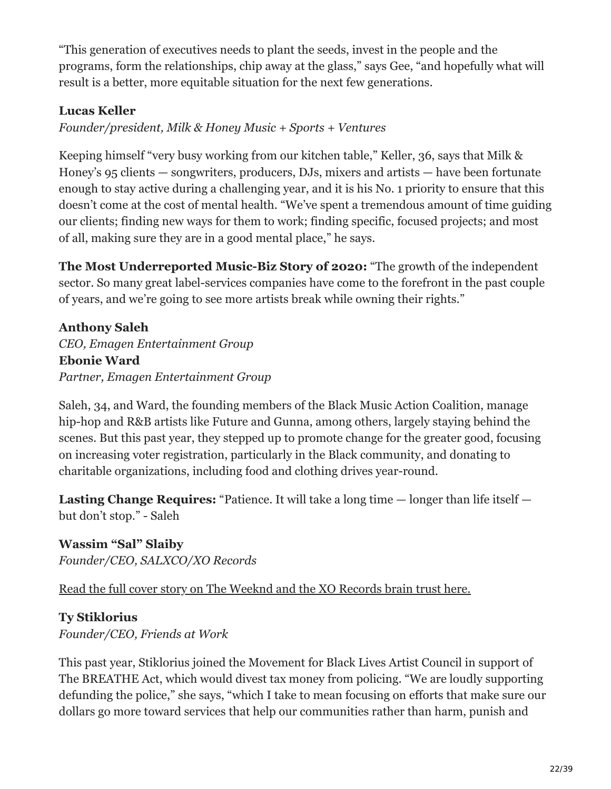"This generation of executives needs to plant the seeds, invest in the people and the programs, form the relationships, chip away at the glass," says Gee, "and hopefully what will result is a better, more equitable situation for the next few generations.

#### **Lucas Keller**

*Founder/president, Milk & Honey Music + Sports + Ventures*

Keeping himself "very busy working from our kitchen table," Keller, 36, says that Milk & Honey's 95 clients — songwriters, producers, DJs, mixers and artists — have been fortunate enough to stay active during a challenging year, and it is his No. 1 priority to ensure that this doesn't come at the cost of mental health. "We've spent a tremendous amount of time guiding our clients; finding new ways for them to work; finding specific, focused projects; and most of all, making sure they are in a good mental place," he says.

**The Most Underreported Music-Biz Story of 2020:** "The growth of the independent sector. So many great label-services companies have come to the forefront in the past couple of years, and we're going to see more artists break while owning their rights."

#### **Anthony Saleh** *CEO, Emagen Entertainment Group* **Ebonie Ward**

*Partner, Emagen Entertainment Group*

Saleh, 34, and Ward, the founding members of the Black Music Action Coalition, manage hip-hop and R&B artists like Future and Gunna, among others, largely staying behind the scenes. But this past year, they stepped up to promote change for the greater good, focusing on increasing voter registration, particularly in the Black community, and donating to charitable organizations, including food and clothing drives year-round.

Lasting Change Requires: "Patience. It will take a long time — longer than life itself but don't stop." - Saleh

**Wassim "Sal" Slaiby** *Founder/CEO, SALXCO/XO Records*

[Read the full cover story on The Weeknd and the XO Records brain trust here.](https://www.billboard.com/articles/business/9516909/the-weeknd-xo-records-billboard-cover-story-interview-2021/)

# **Ty Stiklorius**

*Founder/CEO, Friends at Work*

This past year, Stiklorius joined the Movement for Black Lives Artist Council in support of The BREATHE Act, which would divest tax money from policing. "We are loudly supporting defunding the police," she says, "which I take to mean focusing on efforts that make sure our dollars go more toward services that help our communities rather than harm, punish and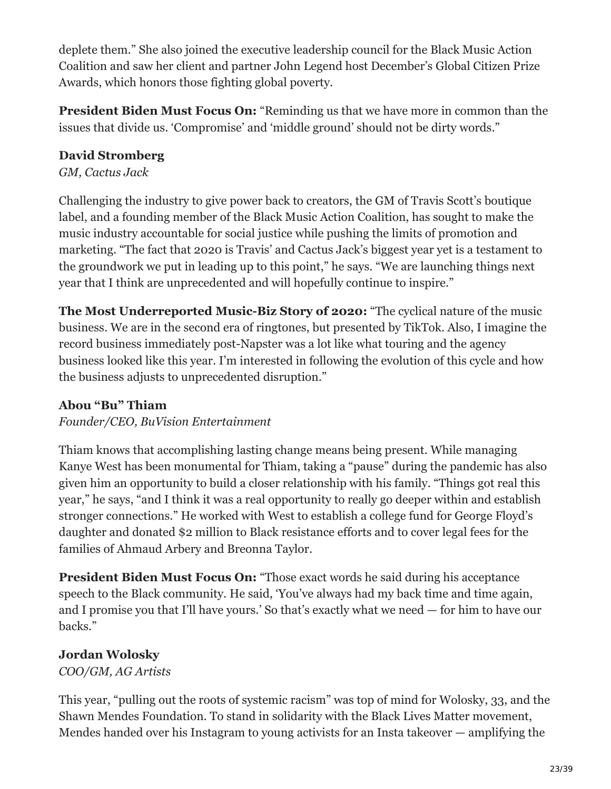deplete them." She also joined the executive leadership council for the Black Music Action Coalition and saw her client and partner John Legend host December's Global Citizen Prize Awards, which honors those fighting global poverty.

**President Biden Must Focus On:** "Reminding us that we have more in common than the issues that divide us. 'Compromise' and 'middle ground' should not be dirty words."

# **David Stromberg**

*GM, Cactus Jack*

Challenging the industry to give power back to creators, the GM of Travis Scott's boutique label, and a founding member of the Black Music Action Coalition, has sought to make the music industry accountable for social justice while pushing the limits of promotion and marketing. "The fact that 2020 is Travis' and Cactus Jack's biggest year yet is a testament to the groundwork we put in leading up to this point," he says. "We are launching things next year that I think are unprecedented and will hopefully continue to inspire."

**The Most Underreported Music-Biz Story of 2020:** "The cyclical nature of the music business. We are in the second era of ringtones, but presented by TikTok. Also, I imagine the record business immediately post-Napster was a lot like what touring and the agency business looked like this year. I'm interested in following the evolution of this cycle and how the business adjusts to unprecedented disruption."

# **Abou "Bu" Thiam**

*Founder/CEO, BuVision Entertainment*

Thiam knows that accomplishing lasting change means being present. While managing Kanye West has been monumental for Thiam, taking a "pause" during the pandemic has also given him an opportunity to build a closer relationship with his family. "Things got real this year," he says, "and I think it was a real opportunity to really go deeper within and establish stronger connections." He worked with West to establish a college fund for George Floyd's daughter and donated \$2 million to Black resistance efforts and to cover legal fees for the families of Ahmaud Arbery and Breonna Taylor.

**President Biden Must Focus On:** "Those exact words he said during his acceptance speech to the Black community. He said, 'You've always had my back time and time again, and I promise you that I'll have yours.' So that's exactly what we need — for him to have our backs."

# **Jordan Wolosky**

*COO/GM, AG Artists*

This year, "pulling out the roots of systemic racism" was top of mind for Wolosky, 33, and the Shawn Mendes Foundation. To stand in solidarity with the Black Lives Matter movement, Mendes handed over his Instagram to young activists for an Insta takeover — amplifying the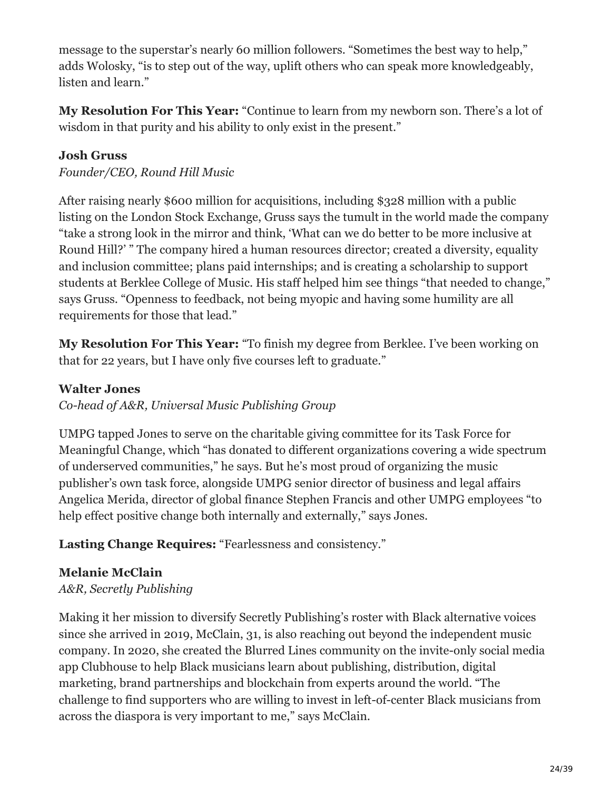message to the superstar's nearly 60 million followers. "Sometimes the best way to help," adds Wolosky, "is to step out of the way, uplift others who can speak more knowledgeably, listen and learn."

**My Resolution For This Year:** "Continue to learn from my newborn son. There's a lot of wisdom in that purity and his ability to only exist in the present."

#### **Josh Gruss**

*Founder/CEO, Round Hill Music*

After raising nearly \$600 million for acquisitions, including \$328 million with a public listing on the London Stock Exchange, Gruss says the tumult in the world made the company "take a strong look in the mirror and think, 'What can we do better to be more inclusive at Round Hill?' " The company hired a human resources director; created a diversity, equality and inclusion committee; plans paid internships; and is creating a scholarship to support students at Berklee College of Music. His staff helped him see things "that needed to change," says Gruss. "Openness to feedback, not being myopic and having some humility are all requirements for those that lead."

**My Resolution For This Year:** "To finish my degree from Berklee. I've been working on that for 22 years, but I have only five courses left to graduate."

#### **Walter Jones**

*Co-head of A&R, Universal Music Publishing Group*

UMPG tapped Jones to serve on the charitable giving committee for its Task Force for Meaningful Change, which "has donated to different organizations covering a wide spectrum of underserved communities," he says. But he's most proud of organizing the music publisher's own task force, alongside UMPG senior director of business and legal affairs Angelica Merida, director of global finance Stephen Francis and other UMPG employees "to help effect positive change both internally and externally," says Jones.

#### **Lasting Change Requires:** "Fearlessness and consistency."

#### **Melanie McClain**

#### *A&R, Secretly Publishing*

Making it her mission to diversify Secretly Publishing's roster with Black alternative voices since she arrived in 2019, McClain, 31, is also reaching out beyond the independent music company. In 2020, she created the Blurred Lines community on the invite-only social media app Clubhouse to help Black musicians learn about publishing, distribution, digital marketing, brand partnerships and blockchain from experts around the world. "The challenge to find supporters who are willing to invest in left-of-center Black musicians from across the diaspora is very important to me," says McClain.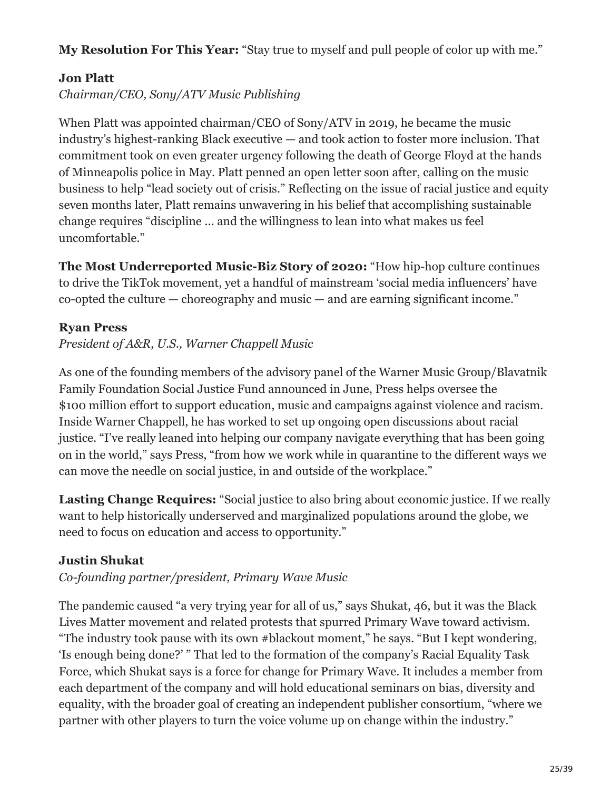**My Resolution For This Year:** "Stay true to myself and pull people of color up with me."

# **Jon Platt**

*Chairman/CEO, Sony/ATV Music Publishing*

When Platt was appointed chairman/CEO of Sony/ATV in 2019, he became the music industry's highest-ranking Black executive — and took action to foster more inclusion. That commitment took on even greater urgency following the death of George Floyd at the hands of Minneapolis police in May. Platt penned an open letter soon after, calling on the music business to help "lead society out of crisis." Reflecting on the issue of racial justice and equity seven months later, Platt remains unwavering in his belief that accomplishing sustainable change requires "discipline ... and the willingness to lean into what makes us feel uncomfortable."

**The Most Underreported Music-Biz Story of 2020:** "How hip-hop culture continues to drive the TikTok movement, yet a handful of mainstream 'social media influencers' have co-opted the culture — choreography and music — and are earning significant income."

# **Ryan Press**

*President of A&R, U.S., Warner Chappell Music*

As one of the founding members of the advisory panel of the Warner Music Group/Blavatnik Family Foundation Social Justice Fund announced in June, Press helps oversee the \$100 million effort to support education, music and campaigns against violence and racism. Inside Warner Chappell, he has worked to set up ongoing open discussions about racial justice. "I've really leaned into helping our company navigate everything that has been going on in the world," says Press, "from how we work while in quarantine to the different ways we can move the needle on social justice, in and outside of the workplace."

**Lasting Change Requires:** "Social justice to also bring about economic justice. If we really want to help historically underserved and marginalized populations around the globe, we need to focus on education and access to opportunity."

# **Justin Shukat**

*Co-founding partner/president, Primary Wave Music*

The pandemic caused "a very trying year for all of us," says Shukat, 46, but it was the Black Lives Matter movement and related protests that spurred Primary Wave toward activism. "The industry took pause with its own #blackout moment," he says. "But I kept wondering, 'Is enough being done?' " That led to the formation of the company's Racial Equality Task Force, which Shukat says is a force for change for Primary Wave. It includes a member from each department of the company and will hold educational seminars on bias, diversity and equality, with the broader goal of creating an independent publisher consortium, "where we partner with other players to turn the voice volume up on change within the industry."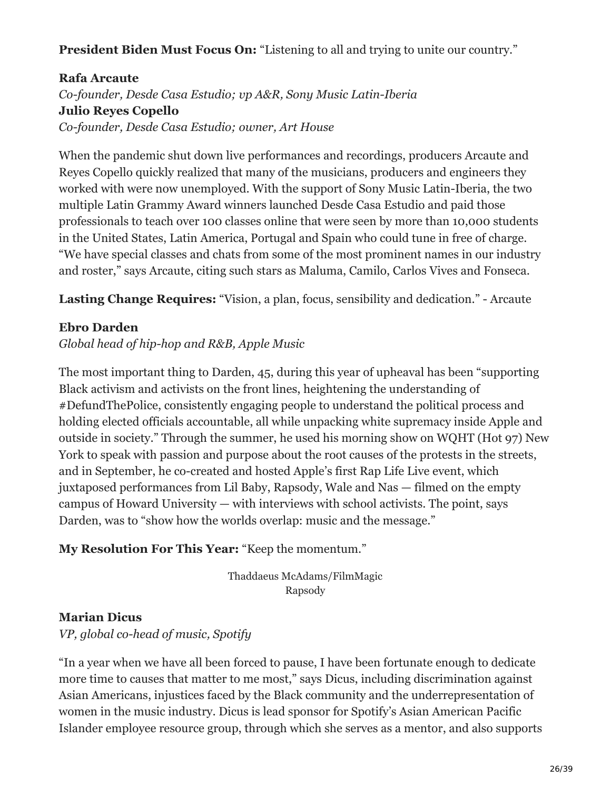#### **President Biden Must Focus On:** "Listening to all and trying to unite our country."

# **Rafa Arcaute** *Co-founder, Desde Casa Estudio; vp A&R, Sony Music Latin-Iberia* **Julio Reyes Copello** *Co-founder, Desde Casa Estudio; owner, Art House*

When the pandemic shut down live performances and recordings, producers Arcaute and Reyes Copello quickly realized that many of the musicians, producers and engineers they worked with were now unemployed. With the support of Sony Music Latin-Iberia, the two multiple Latin Grammy Award winners launched Desde Casa Estudio and paid those professionals to teach over 100 classes online that were seen by more than 10,000 students in the United States, Latin America, Portugal and Spain who could tune in free of charge. "We have special classes and chats from some of the most prominent names in our industry and roster," says Arcaute, citing such stars as Maluma, Camilo, Carlos Vives and Fonseca.

**Lasting Change Requires:** "Vision, a plan, focus, sensibility and dedication." - Arcaute

#### **Ebro Darden**

*Global head of hip-hop and R&B, Apple Music*

The most important thing to Darden, 45, during this year of upheaval has been "supporting Black activism and activists on the front lines, heightening the understanding of #DefundThePolice, consistently engaging people to understand the political process and holding elected officials accountable, all while unpacking white supremacy inside Apple and outside in society." Through the summer, he used his morning show on WQHT (Hot 97) New York to speak with passion and purpose about the root causes of the protests in the streets, and in September, he co-created and hosted Apple's first Rap Life Live event, which juxtaposed performances from Lil Baby, Rapsody, Wale and Nas — filmed on the empty campus of Howard University — with interviews with school activists. The point, says Darden, was to "show how the worlds overlap: music and the message."

#### **My Resolution For This Year:** "Keep the momentum."

Thaddaeus McAdams/FilmMagic Rapsody

#### **Marian Dicus**

*VP, global co-head of music, Spotify*

"In a year when we have all been forced to pause, I have been fortunate enough to dedicate more time to causes that matter to me most," says Dicus, including discrimination against Asian Americans, injustices faced by the Black community and the underrepresentation of women in the music industry. Dicus is lead sponsor for Spotify's Asian American Pacific Islander employee resource group, through which she serves as a mentor, and also supports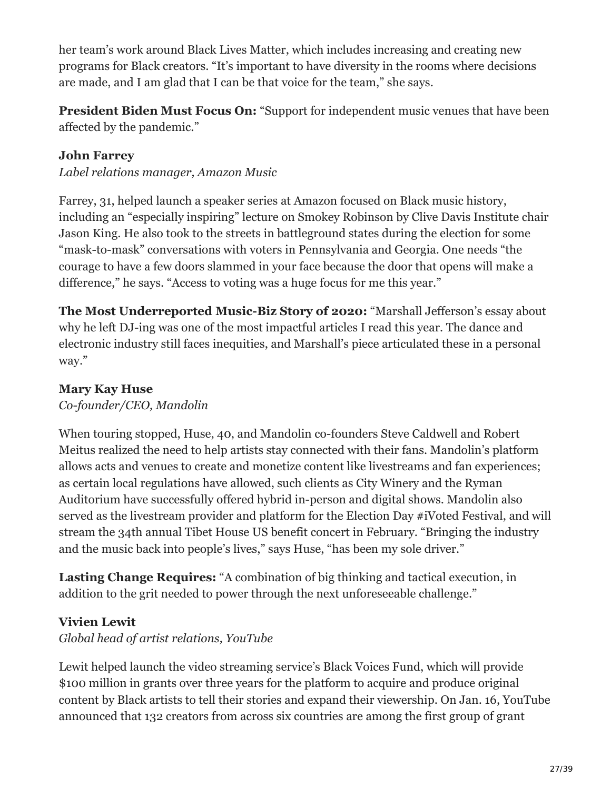her team's work around Black Lives Matter, which includes increasing and creating new programs for Black creators. "It's important to have diversity in the rooms where decisions are made, and I am glad that I can be that voice for the team," she says.

**President Biden Must Focus On:** "Support for independent music venues that have been affected by the pandemic."

#### **John Farrey**

*Label relations manager, Amazon Music*

Farrey, 31, helped launch a speaker series at Amazon focused on Black music history, including an "especially inspiring" lecture on Smokey Robinson by Clive Davis Institute chair Jason King. He also took to the streets in battleground states during the election for some "mask-to-mask" conversations with voters in Pennsylvania and Georgia. One needs "the courage to have a few doors slammed in your face because the door that opens will make a difference," he says. "Access to voting was a huge focus for me this year."

**The Most Underreported Music-Biz Story of 2020:** "Marshall Jefferson's essay about why he left DJ-ing was one of the most impactful articles I read this year. The dance and electronic industry still faces inequities, and Marshall's piece articulated these in a personal way."

### **Mary Kay Huse**

*Co-founder/CEO, Mandolin*

When touring stopped, Huse, 40, and Mandolin co-founders Steve Caldwell and Robert Meitus realized the need to help artists stay connected with their fans. Mandolin's platform allows acts and venues to create and monetize content like livestreams and fan experiences; as certain local regulations have allowed, such clients as City Winery and the Ryman Auditorium have successfully offered hybrid in-person and digital shows. Mandolin also served as the livestream provider and platform for the Election Day #iVoted Festival, and will stream the 34th annual Tibet House US benefit concert in February. "Bringing the industry and the music back into people's lives," says Huse, "has been my sole driver."

**Lasting Change Requires:** "A combination of big thinking and tactical execution, in addition to the grit needed to power through the next unforeseeable challenge."

# **Vivien Lewit**

*Global head of artist relations, YouTube*

Lewit helped launch the video streaming service's Black Voices Fund, which will provide \$100 million in grants over three years for the platform to acquire and produce original content by Black artists to tell their stories and expand their viewership. On Jan. 16, YouTube announced that 132 creators from across six countries are among the first group of grant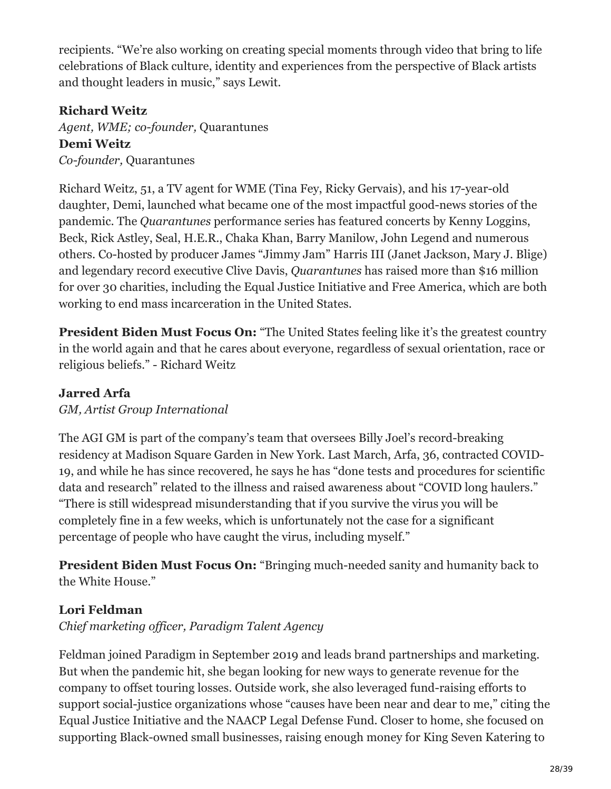recipients. "We're also working on creating special moments through video that bring to life celebrations of Black culture, identity and experiences from the perspective of Black artists and thought leaders in music," says Lewit.

# **Richard Weitz**

*Agent, WME; co-founder,* Quarantunes **Demi Weitz** *Co-founder,* Quarantunes

Richard Weitz, 51, a TV agent for WME (Tina Fey, Ricky Gervais), and his 17-year-old daughter, Demi, launched what became one of the most impactful good-news stories of the pandemic. The *Quarantunes* performance series has featured concerts by Kenny Loggins, Beck, Rick Astley, Seal, H.E.R., Chaka Khan, Barry Manilow, John Legend and numerous others. Co-hosted by producer James "Jimmy Jam" Harris III (Janet Jackson, Mary J. Blige) and legendary record executive Clive Davis, *Quarantunes* has raised more than \$16 million for over 30 charities, including the Equal Justice Initiative and Free America, which are both working to end mass incarceration in the United States.

**President Biden Must Focus On:** "The United States feeling like it's the greatest country in the world again and that he cares about everyone, regardless of sexual orientation, race or religious beliefs." - Richard Weitz

### **Jarred Arfa**

*GM, Artist Group International*

The AGI GM is part of the company's team that oversees Billy Joel's record-breaking residency at Madison Square Garden in New York. Last March, Arfa, 36, contracted COVID-19, and while he has since recovered, he says he has "done tests and procedures for scientific data and research" related to the illness and raised awareness about "COVID long haulers." "There is still widespread misunderstanding that if you survive the virus you will be completely fine in a few weeks, which is unfortunately not the case for a significant percentage of people who have caught the virus, including myself."

**President Biden Must Focus On:** "Bringing much-needed sanity and humanity back to the White House."

# **Lori Feldman**

*Chief marketing officer, Paradigm Talent Agency*

Feldman joined Paradigm in September 2019 and leads brand partnerships and marketing. But when the pandemic hit, she began looking for new ways to generate revenue for the company to offset touring losses. Outside work, she also leveraged fund-raising efforts to support social-justice organizations whose "causes have been near and dear to me," citing the Equal Justice Initiative and the NAACP Legal Defense Fund. Closer to home, she focused on supporting Black-owned small businesses, raising enough money for King Seven Katering to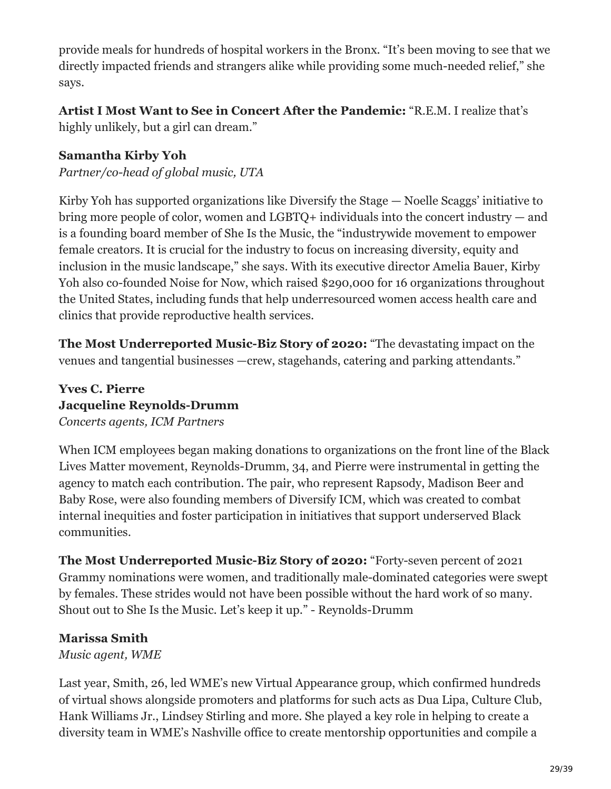provide meals for hundreds of hospital workers in the Bronx. "It's been moving to see that we directly impacted friends and strangers alike while providing some much-needed relief," she says.

# **Artist I Most Want to See in Concert After the Pandemic:** "R.E.M. I realize that's

highly unlikely, but a girl can dream."

#### **Samantha Kirby Yoh**

*Partner/co-head of global music, UTA*

Kirby Yoh has supported organizations like Diversify the Stage — Noelle Scaggs' initiative to bring more people of color, women and LGBTQ+ individuals into the concert industry — and is a founding board member of She Is the Music, the "industrywide movement to empower female creators. It is crucial for the industry to focus on increasing diversity, equity and inclusion in the music landscape," she says. With its executive director Amelia Bauer, Kirby Yoh also co-founded Noise for Now, which raised \$290,000 for 16 organizations throughout the United States, including funds that help underresourced women access health care and clinics that provide reproductive health services.

**The Most Underreported Music-Biz Story of 2020:** "The devastating impact on the venues and tangential businesses —crew, stagehands, catering and parking attendants."

#### **Yves C. Pierre Jacqueline Reynolds-Drumm** *Concerts agents, ICM Partners*

When ICM employees began making donations to organizations on the front line of the Black Lives Matter movement, Reynolds-Drumm, 34, and Pierre were instrumental in getting the agency to match each contribution. The pair, who represent Rapsody, Madison Beer and Baby Rose, were also founding members of Diversify ICM, which was created to combat internal inequities and foster participation in initiatives that support underserved Black communities.

**The Most Underreported Music-Biz Story of 2020:** "Forty-seven percent of 2021 Grammy nominations were women, and traditionally male-dominated categories were swept by females. These strides would not have been possible without the hard work of so many. Shout out to She Is the Music. Let's keep it up." - Reynolds-Drumm

# **Marissa Smith**

*Music agent, WME*

Last year, Smith, 26, led WME's new Virtual Appearance group, which confirmed hundreds of virtual shows alongside promoters and platforms for such acts as Dua Lipa, Culture Club, Hank Williams Jr., Lindsey Stirling and more. She played a key role in helping to create a diversity team in WME's Nashville office to create mentorship opportunities and compile a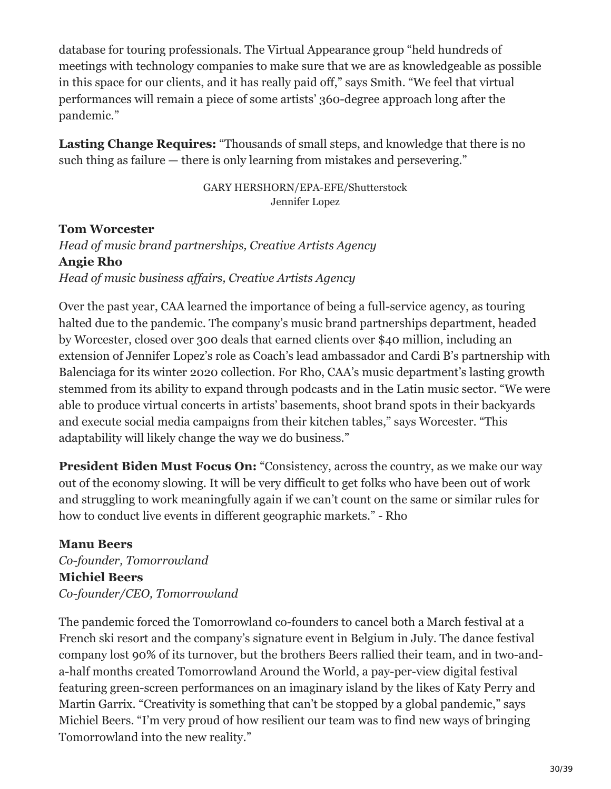database for touring professionals. The Virtual Appearance group "held hundreds of meetings with technology companies to make sure that we are as knowledgeable as possible in this space for our clients, and it has really paid off," says Smith. "We feel that virtual performances will remain a piece of some artists' 360-degree approach long after the pandemic."

**Lasting Change Requires:** "Thousands of small steps, and knowledge that there is no such thing as failure — there is only learning from mistakes and persevering."

> GARY HERSHORN/EPA-EFE/Shutterstock Jennifer Lopez

**Tom Worcester** *Head of music brand partnerships, Creative Artists Agency* **Angie Rho** *Head of music business affairs, Creative Artists Agency*

Over the past year, CAA learned the importance of being a full-service agency, as touring halted due to the pandemic. The company's music brand partnerships department, headed by Worcester, closed over 300 deals that earned clients over \$40 million, including an extension of Jennifer Lopez's role as Coach's lead ambassador and Cardi B's partnership with Balenciaga for its winter 2020 collection. For Rho, CAA's music department's lasting growth stemmed from its ability to expand through podcasts and in the Latin music sector. "We were able to produce virtual concerts in artists' basements, shoot brand spots in their backyards and execute social media campaigns from their kitchen tables," says Worcester. "This adaptability will likely change the way we do business."

**President Biden Must Focus On:** "Consistency, across the country, as we make our way out of the economy slowing. It will be very difficult to get folks who have been out of work and struggling to work meaningfully again if we can't count on the same or similar rules for how to conduct live events in different geographic markets." - Rho

#### **Manu Beers**

*Co-founder, Tomorrowland* **Michiel Beers** *Co-founder/CEO, Tomorrowland*

The pandemic forced the Tomorrowland co-founders to cancel both a March festival at a French ski resort and the company's signature event in Belgium in July. The dance festival company lost 90% of its turnover, but the brothers Beers rallied their team, and in two-anda-half months created Tomorrowland Around the World, a pay-per-view digital festival featuring green-screen performances on an imaginary island by the likes of Katy Perry and Martin Garrix. "Creativity is something that can't be stopped by a global pandemic," says Michiel Beers. "I'm very proud of how resilient our team was to find new ways of bringing Tomorrowland into the new reality."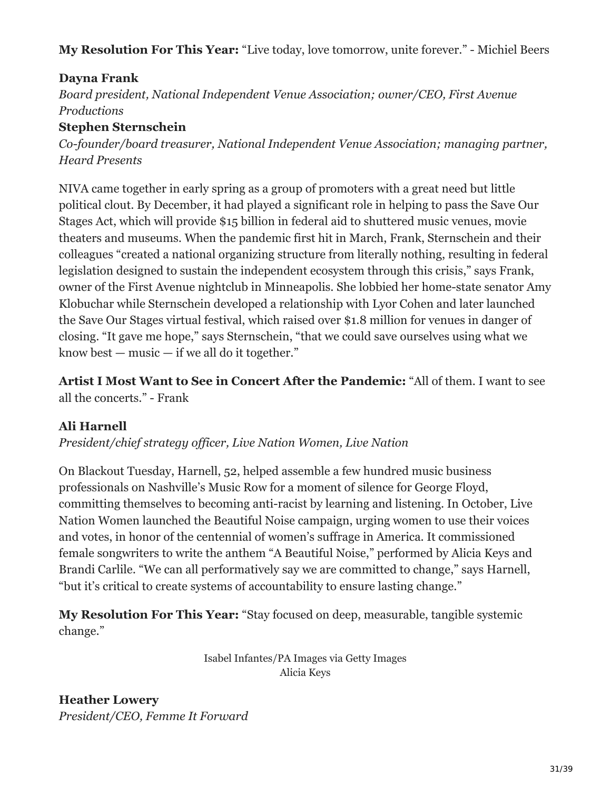**My Resolution For This Year:** "Live today, love tomorrow, unite forever." - Michiel Beers

# **Dayna Frank**

*Board president, National Independent Venue Association; owner/CEO, First Avenue Productions*

# **Stephen Sternschein**

*Co-founder/board treasurer, National Independent Venue Association; managing partner, Heard Presents*

NIVA came together in early spring as a group of promoters with a great need but little political clout. By December, it had played a significant role in helping to pass the Save Our Stages Act, which will provide \$15 billion in federal aid to shuttered music venues, movie theaters and museums. When the pandemic first hit in March, Frank, Sternschein and their colleagues "created a national organizing structure from literally nothing, resulting in federal legislation designed to sustain the independent ecosystem through this crisis," says Frank, owner of the First Avenue nightclub in Minneapolis. She lobbied her home-state senator Amy Klobuchar while Sternschein developed a relationship with Lyor Cohen and later launched the Save Our Stages virtual festival, which raised over \$1.8 million for venues in danger of closing. "It gave me hope," says Sternschein, "that we could save ourselves using what we know best — music — if we all do it together."

**Artist I Most Want to See in Concert After the Pandemic:** "All of them. I want to see all the concerts." - Frank

# **Ali Harnell**

*President/chief strategy officer, Live Nation Women, Live Nation*

On Blackout Tuesday, Harnell, 52, helped assemble a few hundred music business professionals on Nashville's Music Row for a moment of silence for George Floyd, committing themselves to becoming anti-racist by learning and listening. In October, Live Nation Women launched the Beautiful Noise campaign, urging women to use their voices and votes, in honor of the centennial of women's suffrage in America. It commissioned female songwriters to write the anthem "A Beautiful Noise," performed by Alicia Keys and Brandi Carlile. "We can all performatively say we are committed to change," says Harnell, "but it's critical to create systems of accountability to ensure lasting change."

**My Resolution For This Year:** "Stay focused on deep, measurable, tangible systemic change."

> Isabel Infantes/PA Images via Getty Images Alicia Keys

**Heather Lowery** *President/CEO, Femme It Forward*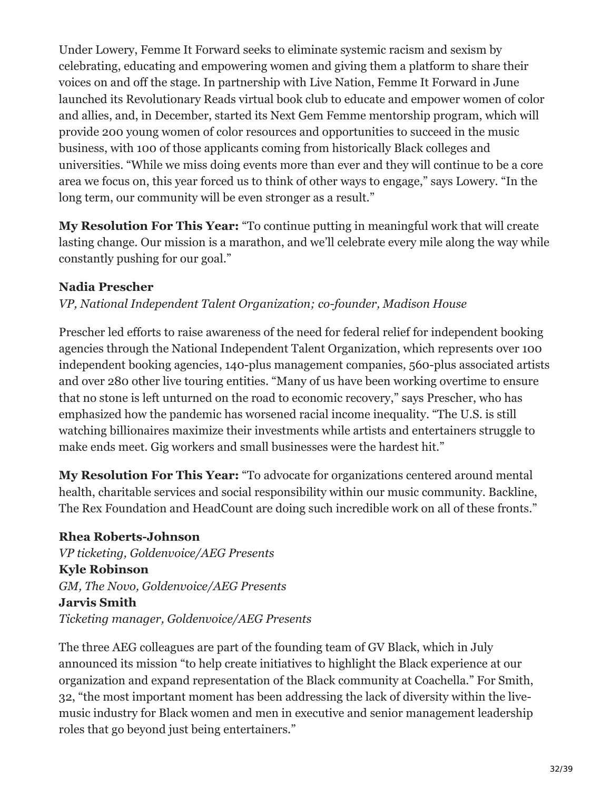Under Lowery, Femme It Forward seeks to eliminate systemic racism and sexism by celebrating, educating and empowering women and giving them a platform to share their voices on and off the stage. In partnership with Live Nation, Femme It Forward in June launched its Revolutionary Reads virtual book club to educate and empower women of color and allies, and, in December, started its Next Gem Femme mentorship program, which will provide 200 young women of color resources and opportunities to succeed in the music business, with 100 of those applicants coming from historically Black colleges and universities. "While we miss doing events more than ever and they will continue to be a core area we focus on, this year forced us to think of other ways to engage," says Lowery. "In the long term, our community will be even stronger as a result."

**My Resolution For This Year:** "To continue putting in meaningful work that will create lasting change. Our mission is a marathon, and we'll celebrate every mile along the way while constantly pushing for our goal."

#### **Nadia Prescher**

#### *VP, National Independent Talent Organization; co-founder, Madison House*

Prescher led efforts to raise awareness of the need for federal relief for independent booking agencies through the National Independent Talent Organization, which represents over 100 independent booking agencies, 140-plus management companies, 560-plus associated artists and over 280 other live touring entities. "Many of us have been working overtime to ensure that no stone is left unturned on the road to economic recovery," says Prescher, who has emphasized how the pandemic has worsened racial income inequality. "The U.S. is still watching billionaires maximize their investments while artists and entertainers struggle to make ends meet. Gig workers and small businesses were the hardest hit."

**My Resolution For This Year:** "To advocate for organizations centered around mental health, charitable services and social responsibility within our music community. Backline, The Rex Foundation and HeadCount are doing such incredible work on all of these fronts."

**Rhea Roberts-Johnson** *VP ticketing, Goldenvoice/AEG Presents* **Kyle Robinson** *GM, The Novo, Goldenvoice/AEG Presents* **Jarvis Smith** *Ticketing manager, Goldenvoice/AEG Presents*

The three AEG colleagues are part of the founding team of GV Black, which in July announced its mission "to help create initiatives to highlight the Black experience at our organization and expand representation of the Black community at Coachella." For Smith, 32, "the most important moment has been addressing the lack of diversity within the livemusic industry for Black women and men in executive and senior management leadership roles that go beyond just being entertainers."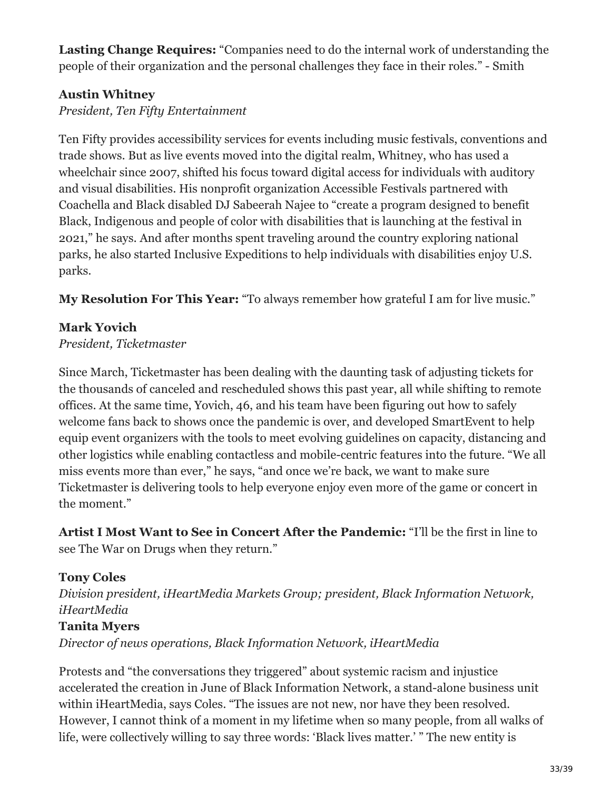**Lasting Change Requires:** "Companies need to do the internal work of understanding the people of their organization and the personal challenges they face in their roles." - Smith

# **Austin Whitney**

*President, Ten Fifty Entertainment*

Ten Fifty provides accessibility services for events including music festivals, conventions and trade shows. But as live events moved into the digital realm, Whitney, who has used a wheelchair since 2007, shifted his focus toward digital access for individuals with auditory and visual disabilities. His nonprofit organization Accessible Festivals partnered with Coachella and Black disabled DJ Sabeerah Najee to "create a program designed to benefit Black, Indigenous and people of color with disabilities that is launching at the festival in 2021," he says. And after months spent traveling around the country exploring national parks, he also started Inclusive Expeditions to help individuals with disabilities enjoy U.S. parks.

**My Resolution For This Year:** "To always remember how grateful I am for live music."

#### **Mark Yovich**

*President, Ticketmaster*

Since March, Ticketmaster has been dealing with the daunting task of adjusting tickets for the thousands of canceled and rescheduled shows this past year, all while shifting to remote offices. At the same time, Yovich, 46, and his team have been figuring out how to safely welcome fans back to shows once the pandemic is over, and developed SmartEvent to help equip event organizers with the tools to meet evolving guidelines on capacity, distancing and other logistics while enabling contactless and mobile-centric features into the future. "We all miss events more than ever," he says, "and once we're back, we want to make sure Ticketmaster is delivering tools to help everyone enjoy even more of the game or concert in the moment."

**Artist I Most Want to See in Concert After the Pandemic:** "I'll be the first in line to see The War on Drugs when they return."

#### **Tony Coles**

*Division president, iHeartMedia Markets Group; president, Black Information Network, iHeartMedia*

#### **Tanita Myers**

*Director of news operations, Black Information Network, iHeartMedia*

Protests and "the conversations they triggered" about systemic racism and injustice accelerated the creation in June of Black Information Network, a stand-alone business unit within iHeartMedia, says Coles. "The issues are not new, nor have they been resolved. However, I cannot think of a moment in my lifetime when so many people, from all walks of life, were collectively willing to say three words: 'Black lives matter.' " The new entity is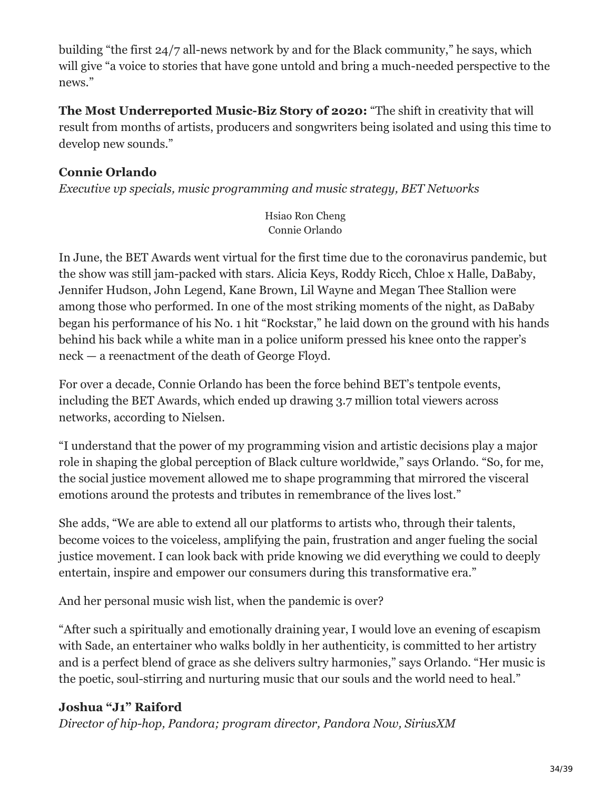building "the first 24/7 all-news network by and for the Black community," he says, which will give "a voice to stories that have gone untold and bring a much-needed perspective to the news."

**The Most Underreported Music-Biz Story of 2020:** "The shift in creativity that will result from months of artists, producers and songwriters being isolated and using this time to develop new sounds."

### **Connie Orlando**

*Executive vp specials, music programming and music strategy, BET Networks*

Hsiao Ron Cheng Connie Orlando

In June, the BET Awards went virtual for the first time due to the coronavirus pandemic, but the show was still jam-packed with stars. Alicia Keys, Roddy Ricch, Chloe x Halle, DaBaby, Jennifer Hudson, John Legend, Kane Brown, Lil Wayne and Megan Thee Stallion were among those who performed. In one of the most striking moments of the night, as DaBaby began his performance of his No. 1 hit "Rockstar," he laid down on the ground with his hands behind his back while a white man in a police uniform pressed his knee onto the rapper's neck — a reenactment of the death of George Floyd.

For over a decade, Connie Orlando has been the force behind BET's tentpole events, including the BET Awards, which ended up drawing 3.7 million total viewers across networks, according to Nielsen.

"I understand that the power of my programming vision and artistic decisions play a major role in shaping the global perception of Black culture worldwide," says Orlando. "So, for me, the social justice movement allowed me to shape programming that mirrored the visceral emotions around the protests and tributes in remembrance of the lives lost."

She adds, "We are able to extend all our platforms to artists who, through their talents, become voices to the voiceless, amplifying the pain, frustration and anger fueling the social justice movement. I can look back with pride knowing we did everything we could to deeply entertain, inspire and empower our consumers during this transformative era."

And her personal music wish list, when the pandemic is over?

"After such a spiritually and emotionally draining year, I would love an evening of escapism with Sade, an entertainer who walks boldly in her authenticity, is committed to her artistry and is a perfect blend of grace as she delivers sultry harmonies," says Orlando. "Her music is the poetic, soul-stirring and nurturing music that our souls and the world need to heal."

#### **Joshua "J1" Raiford**

*Director of hip-hop, Pandora; program director, Pandora Now, SiriusXM*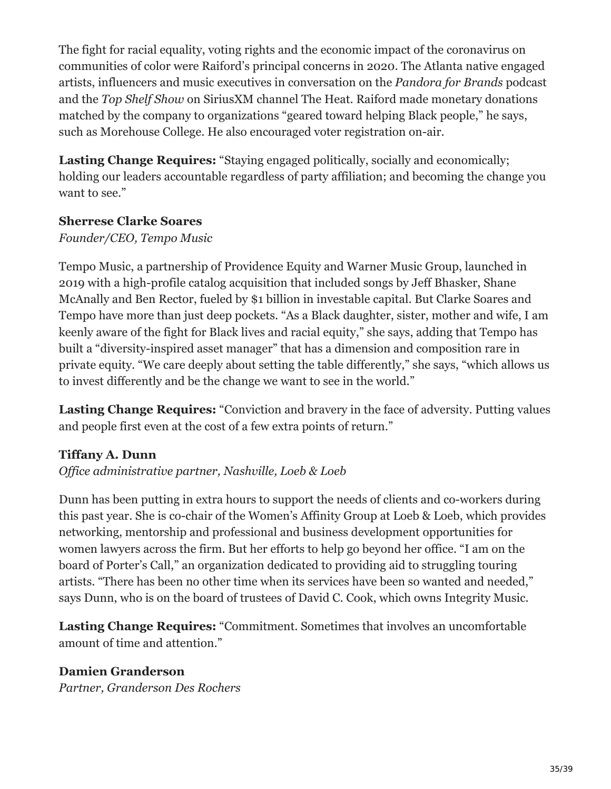The fight for racial equality, voting rights and the economic impact of the coronavirus on communities of color were Raiford's principal concerns in 2020. The Atlanta native engaged artists, influencers and music executives in conversation on the *Pandora for Brands* podcast and the *Top Shelf Show* on SiriusXM channel The Heat. Raiford made monetary donations matched by the company to organizations "geared toward helping Black people," he says, such as Morehouse College. He also encouraged voter registration on-air.

**Lasting Change Requires:** "Staying engaged politically, socially and economically; holding our leaders accountable regardless of party affiliation; and becoming the change you want to see."

#### **Sherrese Clarke Soares**

#### *Founder/CEO, Tempo Music*

Tempo Music, a partnership of Providence Equity and Warner Music Group, launched in 2019 with a high-profile catalog acquisition that included songs by Jeff Bhasker, Shane McAnally and Ben Rector, fueled by \$1 billion in investable capital. But Clarke Soares and Tempo have more than just deep pockets. "As a Black daughter, sister, mother and wife, I am keenly aware of the fight for Black lives and racial equity," she says, adding that Tempo has built a "diversity-inspired asset manager" that has a dimension and composition rare in private equity. "We care deeply about setting the table differently," she says, "which allows us to invest differently and be the change we want to see in the world."

**Lasting Change Requires:** "Conviction and bravery in the face of adversity. Putting values and people first even at the cost of a few extra points of return."

#### **Tiffany A. Dunn**

*Office administrative partner, Nashville, Loeb & Loeb*

Dunn has been putting in extra hours to support the needs of clients and co-workers during this past year. She is co-chair of the Women's Affinity Group at Loeb & Loeb, which provides networking, mentorship and professional and business development opportunities for women lawyers across the firm. But her efforts to help go beyond her office. "I am on the board of Porter's Call," an organization dedicated to providing aid to struggling touring artists. "There has been no other time when its services have been so wanted and needed," says Dunn, who is on the board of trustees of David C. Cook, which owns Integrity Music.

**Lasting Change Requires:** "Commitment. Sometimes that involves an uncomfortable amount of time and attention."

#### **Damien Granderson**

*Partner, Granderson Des Rochers*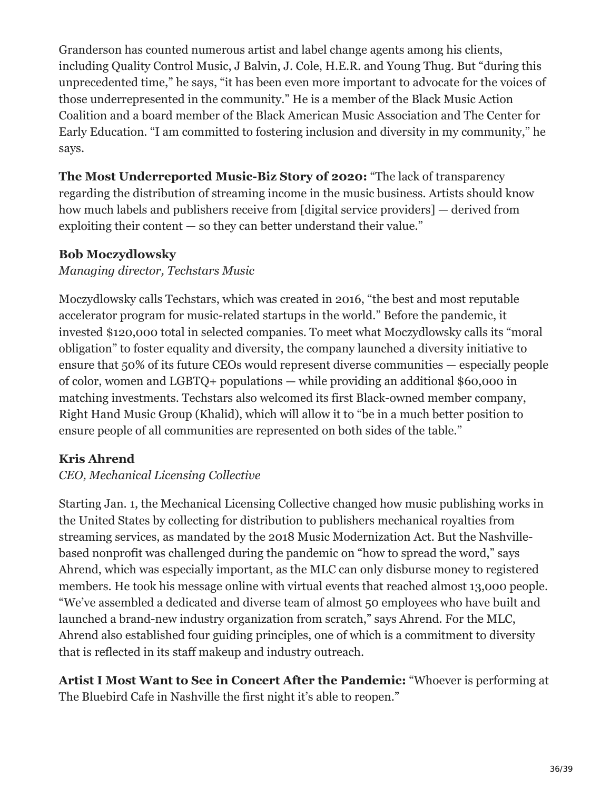Granderson has counted numerous artist and label change agents among his clients, including Quality Control Music, J Balvin, J. Cole, H.E.R. and Young Thug. But "during this unprecedented time," he says, "it has been even more important to advocate for the voices of those underrepresented in the community." He is a member of the Black Music Action Coalition and a board member of the Black American Music Association and The Center for Early Education. "I am committed to fostering inclusion and diversity in my community," he says.

**The Most Underreported Music-Biz Story of 2020:** "The lack of transparency regarding the distribution of streaming income in the music business. Artists should know how much labels and publishers receive from [digital service providers] — derived from exploiting their content  $-$  so they can better understand their value."

#### **Bob Moczydlowsky**

#### *Managing director, Techstars Music*

Moczydlowsky calls Techstars, which was created in 2016, "the best and most reputable accelerator program for music-related startups in the world." Before the pandemic, it invested \$120,000 total in selected companies. To meet what Moczydlowsky calls its "moral obligation" to foster equality and diversity, the company launched a diversity initiative to ensure that 50% of its future CEOs would represent diverse communities — especially people of color, women and LGBTQ+ populations — while providing an additional \$60,000 in matching investments. Techstars also welcomed its first Black-owned member company, Right Hand Music Group (Khalid), which will allow it to "be in a much better position to ensure people of all communities are represented on both sides of the table."

# **Kris Ahrend**

#### *CEO, Mechanical Licensing Collective*

Starting Jan. 1, the Mechanical Licensing Collective changed how music publishing works in the United States by collecting for distribution to publishers mechanical royalties from streaming services, as mandated by the 2018 Music Modernization Act. But the Nashvillebased nonprofit was challenged during the pandemic on "how to spread the word," says Ahrend, which was especially important, as the MLC can only disburse money to registered members. He took his message online with virtual events that reached almost 13,000 people. "We've assembled a dedicated and diverse team of almost 50 employees who have built and launched a brand-new industry organization from scratch," says Ahrend. For the MLC, Ahrend also established four guiding principles, one of which is a commitment to diversity that is reflected in its staff makeup and industry outreach.

**Artist I Most Want to See in Concert After the Pandemic:** "Whoever is performing at The Bluebird Cafe in Nashville the first night it's able to reopen."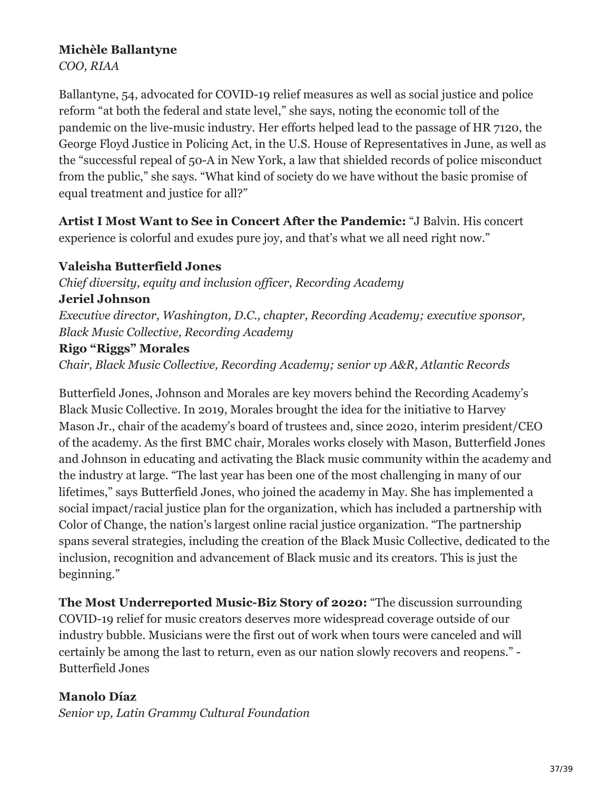#### **Michèle Ballantyne**

*COO, RIAA*

Ballantyne, 54, advocated for COVID-19 relief measures as well as social justice and police reform "at both the federal and state level," she says, noting the economic toll of the pandemic on the live-music industry. Her efforts helped lead to the passage of HR 7120, the George Floyd Justice in Policing Act, in the U.S. House of Representatives in June, as well as the "successful repeal of 50-A in New York, a law that shielded records of police misconduct from the public," she says. "What kind of society do we have without the basic promise of equal treatment and justice for all?"

**Artist I Most Want to See in Concert After the Pandemic:** "J Balvin. His concert experience is colorful and exudes pure joy, and that's what we all need right now."

#### **Valeisha Butterfield Jones**

*Chief diversity, equity and inclusion officer, Recording Academy* **Jeriel Johnson** *Executive director, Washington, D.C., chapter, Recording Academy; executive sponsor, Black Music Collective, Recording Academy*

#### **Rigo "Riggs" Morales**

*Chair, Black Music Collective, Recording Academy; senior vp A&R, Atlantic Records*

Butterfield Jones, Johnson and Morales are key movers behind the Recording Academy's Black Music Collective. In 2019, Morales brought the idea for the initiative to Harvey Mason Jr., chair of the academy's board of trustees and, since 2020, interim president/CEO of the academy. As the first BMC chair, Morales works closely with Mason, Butterfield Jones and Johnson in educating and activating the Black music community within the academy and the industry at large. "The last year has been one of the most challenging in many of our lifetimes," says Butterfield Jones, who joined the academy in May. She has implemented a social impact/racial justice plan for the organization, which has included a partnership with Color of Change, the nation's largest online racial justice organization. "The partnership spans several strategies, including the creation of the Black Music Collective, dedicated to the inclusion, recognition and advancement of Black music and its creators. This is just the beginning."

**The Most Underreported Music-Biz Story of 2020:** "The discussion surrounding COVID-19 relief for music creators deserves more widespread coverage outside of our industry bubble. Musicians were the first out of work when tours were canceled and will certainly be among the last to return, even as our nation slowly recovers and reopens." - Butterfield Jones

#### **Manolo Díaz**

*Senior vp, Latin Grammy Cultural Foundation*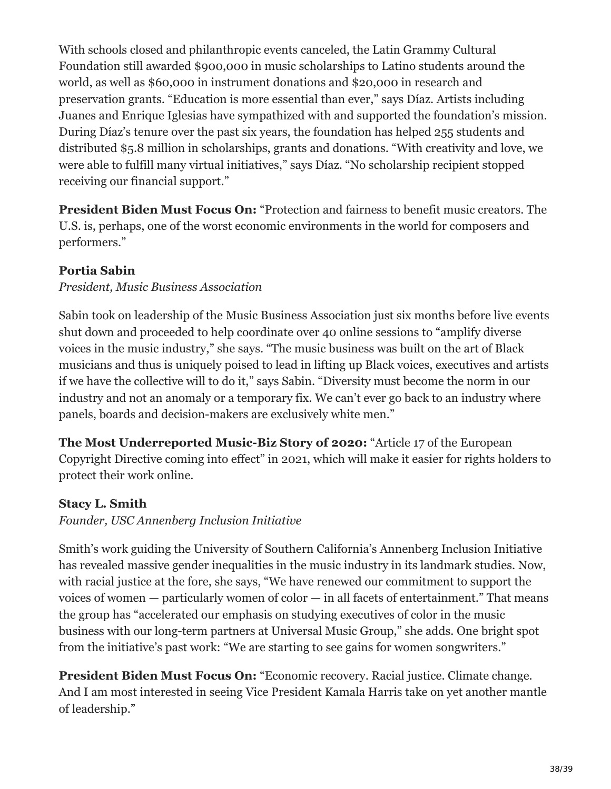With schools closed and philanthropic events canceled, the Latin Grammy Cultural Foundation still awarded \$900,000 in music scholarships to Latino students around the world, as well as \$60,000 in instrument donations and \$20,000 in research and preservation grants. "Education is more essential than ever," says Díaz. Artists including Juanes and Enrique Iglesias have sympathized with and supported the foundation's mission. During Díaz's tenure over the past six years, the foundation has helped 255 students and distributed \$5.8 million in scholarships, grants and donations. "With creativity and love, we were able to fulfill many virtual initiatives," says Díaz. "No scholarship recipient stopped receiving our financial support."

**President Biden Must Focus On:** "Protection and fairness to benefit music creators. The U.S. is, perhaps, one of the worst economic environments in the world for composers and performers."

# **Portia Sabin**

#### *President, Music Business Association*

Sabin took on leadership of the Music Business Association just six months before live events shut down and proceeded to help coordinate over 40 online sessions to "amplify diverse voices in the music industry," she says. "The music business was built on the art of Black musicians and thus is uniquely poised to lead in lifting up Black voices, executives and artists if we have the collective will to do it," says Sabin. "Diversity must become the norm in our industry and not an anomaly or a temporary fix. We can't ever go back to an industry where panels, boards and decision-makers are exclusively white men."

**The Most Underreported Music-Biz Story of 2020:** "Article 17 of the European Copyright Directive coming into effect" in 2021, which will make it easier for rights holders to protect their work online.

#### **Stacy L. Smith**

*Founder, USC Annenberg Inclusion Initiative*

Smith's work guiding the University of Southern California's Annenberg Inclusion Initiative has revealed massive gender inequalities in the music industry in its landmark studies. Now, with racial justice at the fore, she says, "We have renewed our commitment to support the voices of women — particularly women of color — in all facets of entertainment." That means the group has "accelerated our emphasis on studying executives of color in the music business with our long-term partners at Universal Music Group," she adds. One bright spot from the initiative's past work: "We are starting to see gains for women songwriters."

**President Biden Must Focus On:** "Economic recovery. Racial justice. Climate change. And I am most interested in seeing Vice President Kamala Harris take on yet another mantle of leadership."